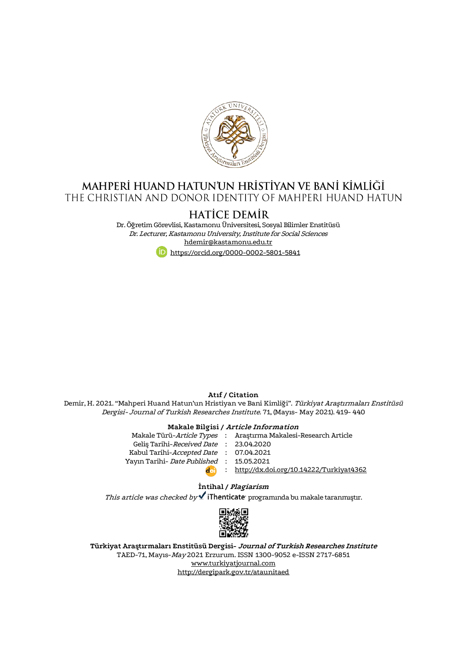

## MAHPERİ HUAND HATUN'UN HRİSTİYAN VE BANİ KİMLİĞİ THE CHRISTIAN AND DONOR IDENTITY OF MAHPERI HUAND HATUN

# **HATICE DEMIR**

Dr. Öğretim Görevlisi, Kastamonu Üniversitesi, Sosyal Bilimler Enstitüsü Dr. Lecturer, Kastamonu University, Institute for Social Sciences [hdemir@kastamonu.edu.tr](mailto:hdemir@kastamonu.edu.tr) <https://orcid.org/0000-0002-5801-5841>

### **Atıf / Citation**

Demir, H. 2021. "Mahperi Huand Hatun'un Hristiyan ve Bani Kimliği". Türkiyat Araştırmaları Enstitüsü Dergisi- Journal of Turkish Researches Institute. 71, (Mayıs- May 2021). 419- 440

#### **Makale Bilgisi / Article Information**

|                                                  | Makale Türü- <i>Article Types</i> : Arastırma Makalesi-Research Article |
|--------------------------------------------------|-------------------------------------------------------------------------|
| Gelis Tarihi-Received Date: 23.04.2020           |                                                                         |
| Kabul Tarihi-Accepted Date : 07.04.2021          |                                                                         |
| Yayın Tarihi- <i>Date Published</i> : 15.05.2021 |                                                                         |
|                                                  | : http://dx.doi.org/10.14222/Turkiyat4362                               |

#### **İntihal / Plagiarism**

This article was checked by  $\checkmark$  iThenticate programında bu makale taranmıştır.



**Türkiyat Araştırmaları Enstitüsü Dergisi- Journal of Turkish Researches Institute** TAED-71, Mayıs-May 2021 Erzurum. ISSN 1300-9052 e-ISSN 2717-6851 [www.turkiyatjournal.com](http://www.turkiyatjournal.com/) <http://dergipark.gov.tr/ataunitaed>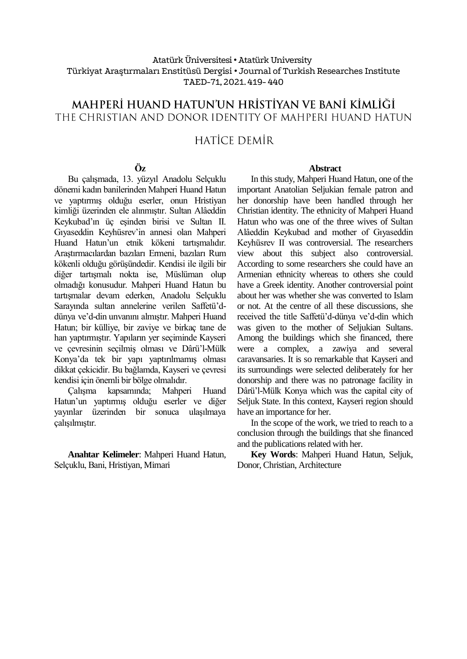#### Atatürk Üniversitesi• Atatürk University Türkiyat Araştırmaları Enstitüsü Dergisi • Journal of Turkish Researches Institute TAED-71, 2021.419- 440

# MAHPERİ HUAND HATUN'UN HRİSTİYAN VE BANİ KİMLİĞİ THE CHRISTIAN AND DONOR IDENTITY OF MAHPERI HUAND HATUN

# HATİCE DEMİR

#### **Öz**

Bu çalışmada, 13. yüzyıl Anadolu Selçuklu dönemi kadın banilerinden Mahperi Huand Hatun ve yaptırmış olduğu eserler, onun Hristiyan kimliği üzerinden ele alınmıştır. Sultan Alâeddin Keykubad'ın üç eşinden birisi ve Sultan II. Gıyaseddin Keyhüsrev'in annesi olan Mahperi Huand Hatun'un etnik kökeni tartışmalıdır. Araştırmacılardan bazıları Ermeni, bazıları Rum kökenli olduğu görüşündedir. Kendisi ile ilgili bir diğer tartışmalı nokta ise, Müslüman olup olmadığı konusudur. Mahperi Huand Hatun bu tartışmalar devam ederken, Anadolu Selçuklu Sarayında sultan annelerine verilen Saffetü'ddünya ve'd-din unvanını almıştır. Mahperi Huand Hatun; bir külliye, bir zaviye ve birkaç tane de han yaptırmıştır. Yapıların yer seçiminde Kayseri ve çevresinin seçilmiş olması ve Dârü'l-Mülk Konya'da tek bir yapı yaptırılmamış olması dikkat çekicidir. Bu bağlamda, Kayseri ve çevresi kendisi için önemli bir bölge olmalıdır.

Çalışma kapsamında; Mahperi Huand Hatun'un yaptırmış olduğu eserler ve diğer yayınlar üzerinden bir sonuca ulaşılmaya çalışılmıştır.

**Anahtar Kelimeler**: Mahperi Huand Hatun, Selçuklu, Bani, Hristiyan, Mimari

#### **Abstract**

In this study, Mahperi Huand Hatun, one of the important Anatolian Seljukian female patron and her donorship have been handled through her Christian identity. The ethnicity of Mahperi Huand Hatun who was one of the three wives of Sultan Alâeddin Keykubad and mother of Gıyaseddin Keyhüsrev II was controversial. The researchers view about this subject also controversial. According to some researchers she could have an Armenian ethnicity whereas to others she could have a Greek identity. Another controversial point about her was whether she was converted to Islam or not. At the centre of all these discussions, she received the title Saffetü'd-dünya ve'd-din which was given to the mother of Seljukian Sultans. Among the buildings which she financed, there were a complex, a zawiya and several caravansaries. It is so remarkable that Kayseri and its surroundings were selected deliberately for her donorship and there was no patronage facility in Dârü'l-Mülk Konya which was the capital city of Seljuk State. In this context, Kayseri region should have an importance for her.

In the scope of the work, we tried to reach to a conclusion through the buildings that she financed and the publications related with her.

**Key Words**: Mahperi Huand Hatun, Seljuk, Donor, Christian, Architecture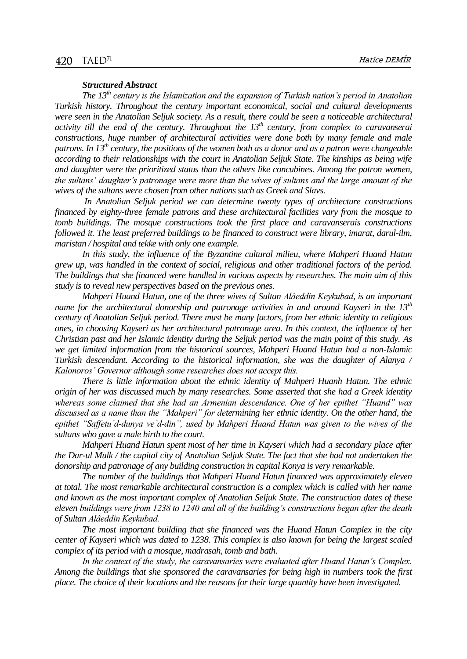#### *Structured Abstract*

*The 13th century is the Islamization and the expansion of Turkish nation's period in Anatolian Turkish history. Throughout the century important economical, social and cultural developments were seen in the Anatolian Seljuk society. As a result, there could be seen a noticeable architectural activity till the end of the century. Throughout the 13th century, from complex to caravanserai constructions, huge number of architectural activities were done both by many female and male patrons. In 13th century, the positions of the women both as a donor and as a patron were changeable according to their relationships with the court in Anatolian Seljuk State. The kinships as being wife and daughter were the prioritized status than the others like concubines. Among the patron women, the sultans' daughter's patronage were more than the wives of sultans and the large amount of the wives of the sultans were chosen from other nations such as Greek and Slavs.*

*In Anatolian Seljuk period we can determine twenty types of architecture constructions financed by eighty-three female patrons and these architectural facilities vary from the mosque to tomb buildings. The mosque constructions took the first place and caravanserais constructions followed it. The least preferred buildings to be financed to construct were library, imarat, darul-ilm, maristan / hospital and tekke with only one example.* 

*In this study, the influence of the Byzantine cultural milieu, where Mahperi Huand Hatun grew up, was handled in the context of social, religious and other traditional factors of the period. The buildings that she financed were handled in various aspects by researches. The main aim of this study is to reveal new perspectives based on the previous ones.* 

*Mahperi Huand Hatun, one of the three wives of Sultan Alâeddin Keykubad, is an important name for the architectural donorship and patronage activities in and around Kayseri in the 13th century of Anatolian Seljuk period. There must be many factors, from her ethnic identity to religious ones, in choosing Kayseri as her architectural patronage area. In this context, the influence of her Christian past and her Islamic identity during the Seljuk period was the main point of this study. As we get limited information from the historical sources, Mahperi Huand Hatun had a non-Islamic Turkish descendant. According to the historical information, she was the daughter of Alanya / Kalonoros' Governor although some researches does not accept this.* 

*There is little information about the ethnic identity of Mahperi Huanh Hatun. The ethnic origin of her was discussed much by many researches. Some asserted that she had a Greek identity whereas some claimed that she had an Armenian descendance. One of her epithet "Huand" was discussed as a name than the "Mahperi" for determining her ethnic identity. On the other hand, the epithet "Saffetu'd-dunya ve'd-din", used by Mahperi Huand Hatun was given to the wives of the sultans who gave a male birth to the court.* 

*Mahperi Huand Hatun spent most of her time in Kayseri which had a secondary place after the Dar-ul Mulk / the capital city of Anatolian Seljuk State. The fact that she had not undertaken the donorship and patronage of any building construction in capital Konya is very remarkable.* 

*The number of the buildings that Mahperi Huand Hatun financed was approximately eleven at total. The most remarkable architectural construction is a complex which is called with her name and known as the most important complex of Anatolian Seljuk State. The construction dates of these eleven buildings were from 1238 to 1240 and all of the building's constructions began after the death of Sultan Alâeddin Keykubad.*

*The most important building that she financed was the Huand Hatun Complex in the city center of Kayseri which was dated to 1238. This complex is also known for being the largest scaled complex of its period with a mosque, madrasah, tomb and bath.* 

*In the context of the study, the caravansaries were evaluated after Huand Hatun's Complex. Among the buildings that she sponsored the caravansaries for being high in numbers took the first place. The choice of their locations and the reasons for their large quantity have been investigated.*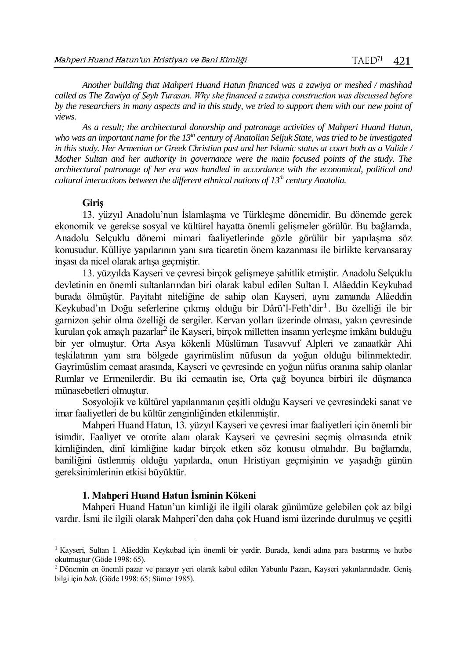*Another building that Mahperi Huand Hatun financed was a zawiya or meshed / mashhad called as The Zawiya of Şeyh Turasan. Why she financed a zawiya construction was discussed before by the researchers in many aspects and in this study, we tried to support them with our new point of views.* 

*As a result; the architectural donorship and patronage activities of Mahperi Huand Hatun, who was an important name for the 13th century of Anatolian Seljuk State, was tried to be investigated in this study. Her Armenian or Greek Christian past and her Islamic status at court both as a Valide / Mother Sultan and her authority in governance were the main focused points of the study. The architectural patronage of her era was handled in accordance with the economical, political and cultural interactions between the different ethnical nations of 13th century Anatolia.* 

#### **Giriş**

 $\overline{a}$ 

13. yüzyıl Anadolu'nun İslamlaşma ve Türkleşme dönemidir. Bu dönemde gerek ekonomik ve gerekse sosyal ve kültürel hayatta önemli gelişmeler görülür. Bu bağlamda, Anadolu Selçuklu dönemi mimari faaliyetlerinde gözle görülür bir yapılaşma söz konusudur. Külliye yapılarının yanı sıra ticaretin önem kazanması ile birlikte kervansaray inşası da nicel olarak artışa geçmiştir.

13. yüzyılda Kayseri ve çevresi birçok gelişmeye şahitlik etmiştir. Anadolu Selçuklu devletinin en önemli sultanlarından biri olarak kabul edilen Sultan I. Alâeddin Keykubad burada ölmüştür. Payitaht niteliğine de sahip olan Kayseri, aynı zamanda Alâeddin Keykubad'ın Doğu seferlerine çıkmış olduğu bir Dârü'l-Feth'dir<sup>1</sup>. Bu özelliği ile bir garnizon şehir olma özelliği de sergiler. Kervan yolları üzerinde olması, yakın çevresinde kurulan çok amaçlı pazarlar<sup>2</sup> ile Kayseri, birçok milletten insanın yerleşme imkânı bulduğu bir yer olmuştur. Orta Asya kökenli Müslüman Tasavvuf Alpleri ve zanaatkâr Ahi teşkilatının yanı sıra bölgede gayrimüslim nüfusun da yoğun olduğu bilinmektedir. Gayrimüslim cemaat arasında, Kayseri ve çevresinde en yoğun nüfus oranına sahip olanlar Rumlar ve Ermenilerdir. Bu iki cemaatin ise, Orta çağ boyunca birbiri ile düşmanca münasebetleri olmuştur.

Sosyolojik ve kültürel yapılanmanın çeşitli olduğu Kayseri ve çevresindeki sanat ve imar faaliyetleri de bu kültür zenginliğinden etkilenmiştir.

Mahperi Huand Hatun, 13. yüzyıl Kayseri ve çevresi imar faaliyetleri için önemli bir isimdir. Faaliyet ve otorite alanı olarak Kayseri ve çevresini seçmiş olmasında etnik kimliğinden, dinî kimliğine kadar birçok etken söz konusu olmalıdır. Bu bağlamda, baniliğini üstlenmiş olduğu yapılarda, onun Hristiyan geçmişinin ve yaşadığı günün gereksinimlerinin etkisi büyüktür.

#### **1. Mahperi Huand Hatun İsminin Kökeni**

Mahperi Huand Hatun'un kimliği ile ilgili olarak günümüze gelebilen çok az bilgi vardır. İsmi ile ilgili olarak Mahperi'den daha çok Huand ismi üzerinde durulmuş ve çeşitli

<sup>1</sup> Kayseri, Sultan I. Alâeddin Keykubad için önemli bir yerdir. Burada, kendi adına para bastırmış ve hutbe okutmuştur (Göde 1998: 65).

<sup>2</sup> Dönemin en önemli pazar ve panayır yeri olarak kabul edilen Yabunlu Pazarı, Kayseri yakınlarındadır. Geniş bilgi için *bak.* (Göde 1998: 65; Sümer 1985).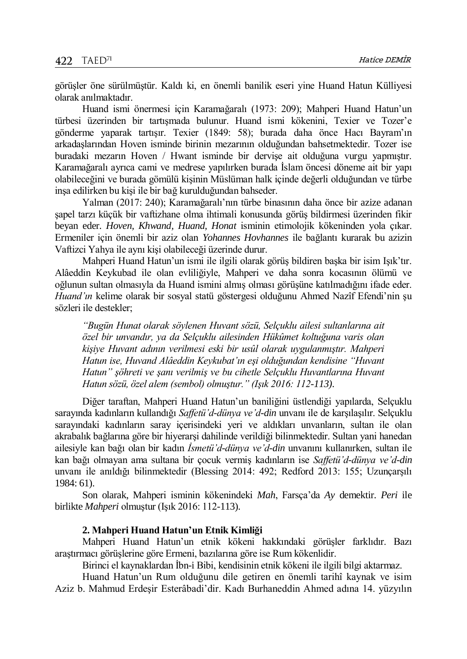görüşler öne sürülmüştür. Kaldı ki, en önemli banilik eseri yine Huand Hatun Külliyesi olarak anılmaktadır.

Huand ismi önermesi için Karamağaralı (1973: 209); Mahperi Huand Hatun'un türbesi üzerinden bir tartışmada bulunur. Huand ismi kökenini, Texier ve Tozer'e gönderme yaparak tartışır. Texier (1849: 58); burada daha önce Hacı Bayram'ın arkadaşlarından Hoven isminde birinin mezarının olduğundan bahsetmektedir. Tozer ise buradaki mezarın Hoven / Hwant isminde bir dervişe ait olduğuna vurgu yapmıştır. Karamağaralı ayrıca cami ve medrese yapılırken burada İslam öncesi döneme ait bir yapı olabileceğini ve burada gömülü kişinin Müslüman halk içinde değerli olduğundan ve türbe inşa edilirken bu kişi ile bir bağ kurulduğundan bahseder.

Yalman (2017: 240); Karamağaralı'nın türbe binasının daha önce bir azize adanan şapel tarzı küçük bir vaftizhane olma ihtimali konusunda görüş bildirmesi üzerinden fikir beyan eder. *Hoven, Khwand, Huand, Honat* isminin etimolojik kökeninden yola çıkar. Ermeniler için önemli bir aziz olan *Yohannes Hovhannes* ile bağlantı kurarak bu azizin Vaftizci Yahya ile aynı kişi olabileceği üzerinde durur.

Mahperi Huand Hatun'un ismi ile ilgili olarak görüş bildiren başka bir isim Işık'tır. Alâeddin Keykubad ile olan evliliğiyle, Mahperi ve daha sonra kocasının ölümü ve oğlunun sultan olmasıyla da Huand ismini almış olması görüşüne katılmadığını ifade eder. *Huand'ın* kelime olarak bir sosyal statü göstergesi olduğunu Ahmed Nazîf Efendi'nin şu sözleri ile destekler;

*"Bugün Hunat olarak söylenen Huvant sözü, Selçuklu ailesi sultanlarına ait özel bir unvandır, ya da Selçuklu ailesinden Hükûmet koltuğuna varis olan kişiye Huvant adının verilmesi eski bir usûl olarak uygulanmıştır. Mahperi Hatun ise, Huvand Alâeddin Keykubat'ın eşi olduğundan kendisine "Huvant Hatun" şöhreti ve şanı verilmiş ve bu cihetle Selçuklu Huvantlarına Huvant Hatun sözü, özel alem (sembol) olmuştur." (Işık 2016: 112-113).*

Diğer taraftan, Mahperi Huand Hatun'un baniliğini üstlendiği yapılarda, Selçuklu sarayında kadınların kullandığı *Saffetü'd-dünya ve'd-din* unvanı ile de karşılaşılır. Selçuklu sarayındaki kadınların saray içerisindeki yeri ve aldıkları unvanların, sultan ile olan akrabalık bağlarına göre bir hiyerarşi dahilinde verildiği bilinmektedir. Sultan yani hanedan ailesiyle kan bağı olan bir kadın *İsmetü'd-dünya ve'd-din* unvanını kullanırken, sultan ile kan bağı olmayan ama sultana bir çocuk vermiş kadınların ise *Saffetü'd-dünya ve'd-din* unvanı ile anıldığı bilinmektedir (Blessing 2014: 492; Redford 2013: 155; Uzunçarşılı 1984: 61).

Son olarak, Mahperi isminin kökenindeki *Mah*, Farsça'da *Ay* demektir. *Peri* ile birlikte *Mahperi* olmuştur (Işık 2016: 112-113).

#### **2. Mahperi Huand Hatun'un Etnik Kimliği**

Mahperi Huand Hatun'un etnik kökeni hakkındaki görüşler farklıdır. Bazı araştırmacı görüşlerine göre Ermeni, bazılarına göre ise Rum kökenlidir.

Birinci el kaynaklardan İbn-i Bibi, kendisinin etnik kökeni ile ilgili bilgi aktarmaz.

Huand Hatun'un Rum olduğunu dile getiren en önemli tarihî kaynak ve isim Aziz b. Mahmud Erdeşir Esterâbadi'dir. Kadı Burhaneddin Ahmed adına 14. yüzyılın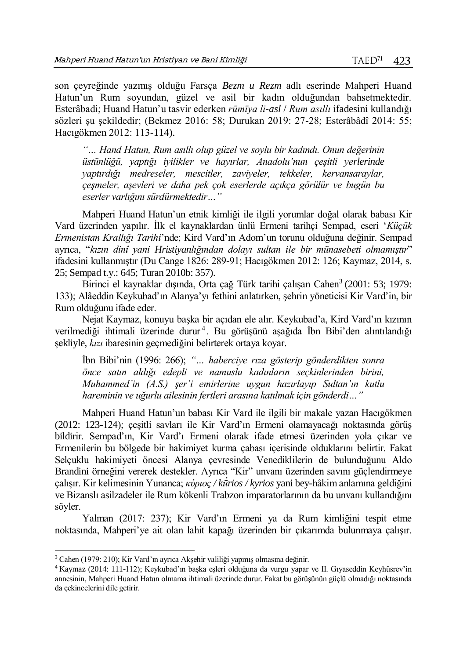son çeyreğinde yazmış olduğu Farsça *Bezm u Rezm* adlı eserinde Mahperi Huand Hatun'un Rum soyundan, güzel ve asil bir kadın olduğundan bahsetmektedir. Esterâbadi; Huand Hatun'u tasvir ederken *rūmīya li-asl* / *Rum asıllı* ifadesini kullandığı sözleri şu şekildedir; (Bekmez 2016: 58; Durukan 2019: 27-28; Esterâbâdî 2014: 55; Hacıgökmen 2012: 113-114).

*"… Hand Hatun, Rum asıllı olup güzel ve soylu bir kadındı. Onun değerinin üstünlüğü, yaptığı iyilikler ve hayırlar, Anadolu'nun çeşitli yerlerinde yaptırdığı medreseler, mescitler, zaviyeler, tekkeler, kervansaraylar, çeşmeler, aşevleri ve daha pek çok eserlerde açıkça görülür ve bugün bu eserler varlığını sürdürmektedir…"* 

Mahperi Huand Hatun'un etnik kimliği ile ilgili yorumlar doğal olarak babası Kir Vard üzerinden yapılır. İlk el kaynaklardan ünlü Ermeni tarihçi Sempad, eseri '*Küçük Ermenistan Krallığı Tarihi*'nde; Kird Vard'ın Adom'un torunu olduğuna değinir. Sempad ayrıca, "*kızın dinî yani Hristiyanlığından dolayı sultan ile bir münasebeti olmamıştır*" ifadesini kullanmıştır (Du Cange 1826: 289-91; Hacıgökmen 2012: 126; Kaymaz, 2014, s. 25; Sempad t.y.: 645; Turan 2010b: 357).

Birinci el kaynaklar dışında, Orta çağ Türk tarihi çalışan Cahen<sup>3</sup> (2001: 53; 1979: 133); Alâeddin Keykubad'ın Alanya'yı fethini anlatırken, şehrin yöneticisi Kir Vard'in, bir Rum olduğunu ifade eder.

Nejat Kaymaz, konuyu başka bir açıdan ele alır. Keykubad'a, Kird Vard'ın kızının verilmediği ihtimali üzerinde durur<sup>4</sup>. Bu görüşünü aşağıda İbn Bibi'den alıntılandığı şekliyle, *kızı* ibaresinin geçmediğini belirterek ortaya koyar.

İbn Bibi'nin (1996: 266); *"… haberciye rıza gösterip gönderdikten sonra önce satın aldığı edepli ve namuslu kadınların seçkinlerinden birini, Muhammed'in (A.S.) şer'i emirlerine uygun hazırlayıp Sultan'ın kutlu hareminin ve uğurlu ailesinin fertleri arasına katılmak için gönderdi…"*

Mahperi Huand Hatun'un babası Kir Vard ile ilgili bir makale yazan Hacıgökmen (2012: 123-124); çeşitli savları ile Kir Vard'ın Ermeni olamayacağı noktasında görüş bildirir. Sempad'ın, Kir Vard'ı Ermeni olarak ifade etmesi üzerinden yola çıkar ve Ermenilerin bu bölgede bir hakimiyet kurma çabası içerisinde olduklarını belirtir. Fakat Selçuklu hakimiyeti öncesi Alanya çevresinde Venediklilerin de bulunduğunu Aldo Brandini örneğini vererek destekler. Ayrıca "Kir" unvanı üzerinden savını güçlendirmeye çalışır. Kir kelimesinin Yunanca; *κύριος / kū́rios / kyrios* yani bey-hâkim anlamına geldiğini ve Bizanslı asilzadeler ile Rum kökenli Trabzon imparatorlarının da bu unvanı kullandığını söyler.

Yalman (2017: 237); Kir Vard'ın Ermeni ya da Rum kimliğini tespit etme noktasında, Mahperi'ye ait olan lahit kapağı üzerinden bir çıkarımda bulunmaya çalışır.

<sup>3</sup> Cahen (1979: 210); Kir Vard'ın ayrıca Akşehir valiliği yapmış olmasına değinir.

<sup>4</sup> Kaymaz (2014: 111-112); Keykubad'ın başka eşleri olduğuna da vurgu yapar ve II. Gıyaseddin Keyhüsrev'in annesinin, Mahperi Huand Hatun olmama ihtimali üzerinde durur. Fakat bu görüşünün güçlü olmadığı noktasında da çekincelerini dile getirir.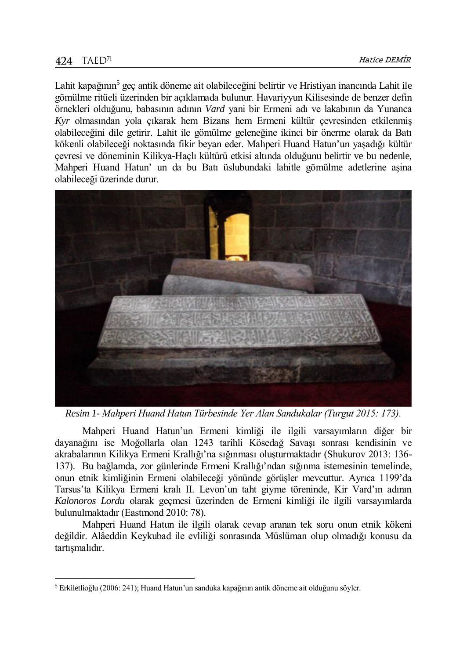Lahit kapağının<sup>5</sup> geç antik döneme ait olabileceğini belirtir ve Hristiyan inancında Lahit ile gömülme ritüeli üzerinden bir açıklamada bulunur. Havariyyun Kilisesinde de benzer defin örnekleri olduğunu, babasının adının *Vard* yani bir Ermeni adı ve lakabının da Yunanca *Kyr* olmasından yola çıkarak hem Bizans hem Ermeni kültür çevresinden etkilenmiş olabileceğini dile getirir. Lahit ile gömülme geleneğine ikinci bir önerme olarak da Batı kökenli olabileceği noktasında fikir beyan eder. Mahperi Huand Hatun'un yaşadığı kültür çevresi ve döneminin Kilikya-Haçlı kültürü etkisi altında olduğunu belirtir ve bu nedenle, Mahperi Huand Hatun' un da bu Batı üslubundaki lahitle gömülme adetlerine aşina olabileceği üzerinde durur.



*Resim 1- Mahperi Huand Hatun Türbesinde Yer Alan Sandukalar (Turgut 2015: 173).*

Mahperi Huand Hatun'un Ermeni kimliği ile ilgili varsayımların diğer bir dayanağını ise Moğollarla olan 1243 tarihli Kösedağ Savaşı sonrası kendisinin ve akrabalarının Kilikya Ermeni Krallığı'na sığınması oluşturmaktadır (Shukurov 2013: 136- 137). Bu bağlamda, zor günlerinde Ermeni Krallığı'ndan sığınma istemesinin temelinde, onun etnik kimliğinin Ermeni olabileceği yönünde görüşler mevcuttur. Ayrıca 1199'da Tarsus'ta Kilikya Ermeni kralı II. Levon'un taht giyme töreninde, Kir Vard'ın adının *Kalonoros Lordu* olarak geçmesi üzerinden de Ermeni kimliği ile ilgili varsayımlarda bulunulmaktadır (Eastmond 2010: 78).

Mahperi Huand Hatun ile ilgili olarak cevap aranan tek soru onun etnik kökeni değildir. Alâeddin Keykubad ile evliliği sonrasında Müslüman olup olmadığı konusu da tartışmalıdır.

<sup>5</sup> Erkiletlioğlu (2006: 241); Huand Hatun'un sanduka kapağının antik döneme ait olduğunu söyler.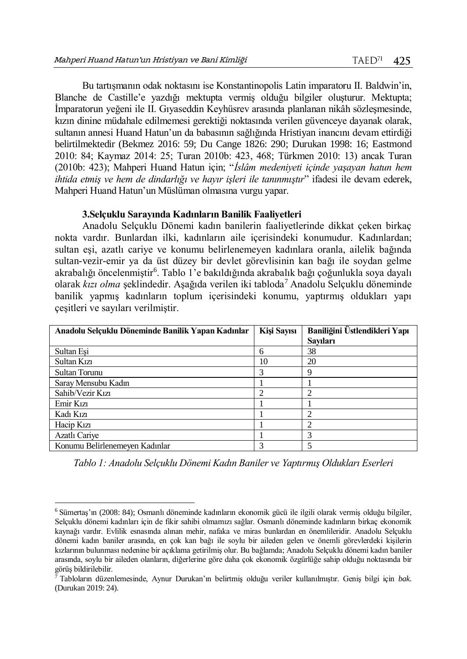Bu tartışmanın odak noktasını ise Konstantinopolis Latin imparatoru II. Baldwin'in, Blanche de Castille'e yazdığı mektupta vermiş olduğu bilgiler oluşturur. Mektupta; İmparatorun yeğeni ile II. Gıyaseddin Keyhüsrev arasında planlanan nikâh sözleşmesinde, kızın dinine müdahale edilmemesi gerektiği noktasında verilen güvenceye dayanak olarak, sultanın annesi Huand Hatun'un da babasının sağlığında Hristiyan inancını devam ettirdiği belirtilmektedir (Bekmez 2016: 59; Du Cange 1826: 290; Durukan 1998: 16; Eastmond 2010: 84; Kaymaz 2014: 25; Turan 2010b: 423, 468; Türkmen 2010: 13) ancak Turan (2010b: 423); Mahperi Huand Hatun için; "*İslâm medeniyeti içinde yaşayan hatun hem ihtida etmiş ve hem de dindarlığı ve hayır işleri ile tanınmıştır*" ifadesi ile devam ederek, Mahperi Huand Hatun'un Müslüman olmasına vurgu yapar.

#### **3.Selçuklu Sarayında Kadınların Banilik Faaliyetleri**

Anadolu Selçuklu Dönemi kadın banilerin faaliyetlerinde dikkat çeken birkaç nokta vardır. Bunlardan ilki, kadınların aile içerisindeki konumudur. Kadınlardan; sultan eşi, azatlı cariye ve konumu belirlenemeyen kadınlara oranla, ailelik bağında sultan-vezir-emir ya da üst düzey bir devlet görevlisinin kan bağı ile soydan gelme akrabalığı öncelenmiştir<sup>6</sup>. Tablo 1'e bakıldığında akrabalık bağı çoğunlukla soya dayalı olarak *kızı olma* şeklindedir. Aşağıda verilen iki tabloda<sup>7</sup> Anadolu Selçuklu döneminde banilik yapmış kadınların toplum içerisindeki konumu, yaptırmış oldukları yapı çeşitleri ve sayıları verilmiştir.

| Anadolu Selçuklu Döneminde Banilik Yapan Kadınlar | Kişi Sayısı | Baniliğini Üstlendikleri Yapı |
|---------------------------------------------------|-------------|-------------------------------|
|                                                   |             | Savıları                      |
| Sultan Esi                                        | 6           | 38                            |
| Sultan Kızı                                       | 10          | 20                            |
| <b>Sultan Torunu</b>                              | 3           | 9                             |
| Saray Mensubu Kadın                               |             |                               |
| Sahib/Vezir Kızı                                  | ↑           | ↑                             |
| Emir Kızı                                         |             |                               |
| Kadı Kızı                                         |             |                               |
| Hacip K <sub>1</sub> z <sub>1</sub>               |             | ↑                             |
| Azatlı Cariye                                     |             | 3                             |
| Konumu Belirlenemeyen Kadınlar                    |             | 5                             |

*Tablo 1: Anadolu Selçuklu Dönemi Kadın Baniler ve Yaptırmış Oldukları Eserleri*

<sup>6</sup> Sümertaş'ın (2008: 84); Osmanlı döneminde kadınların ekonomik gücü ile ilgili olarak vermiş olduğu bilgiler, Selçuklu dönemi kadınları için de fikir sahibi olmamızı sağlar. Osmanlı döneminde kadınların birkaç ekonomik kaynağı vardır. Evlilik esnasında alınan mehir, nafaka ve miras bunlardan en önemlileridir. Anadolu Selçuklu dönemi kadın baniler arasında, en çok kan bağı ile soylu bir aileden gelen ve önemli görevlerdeki kişilerin kızlarının bulunması nedenine bir açıklama getirilmiş olur. Bu bağlamda; Anadolu Selçuklu dönemi kadın baniler arasında, soylu bir aileden olanların, diğerlerine göre daha çok ekonomik özgürlüğe sahip olduğu noktasında bir görüş bildirilebilir.

<sup>7</sup> Tabloların düzenlemesinde, Aynur Durukan'ın belirtmiş olduğu veriler kullanılmıştır. Geniş bilgi için *bak.*  (Durukan 2019: 24).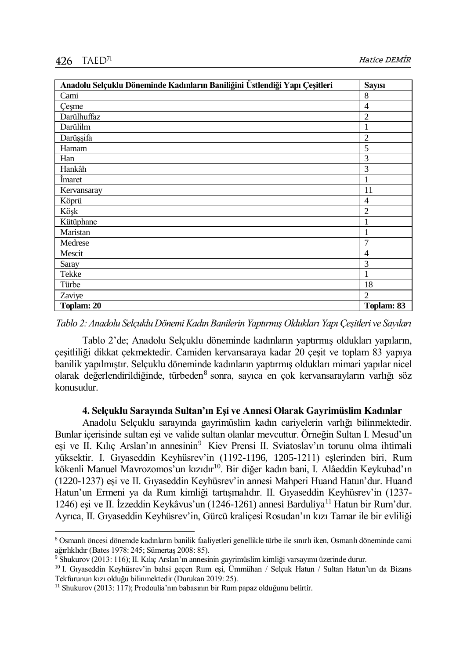| Anadolu Selçuklu Döneminde Kadınların Baniliğini Üstlendiği Yapı Çeşitleri |                |  |  |
|----------------------------------------------------------------------------|----------------|--|--|
| Cami                                                                       | 8              |  |  |
| Çeşme                                                                      | 4              |  |  |
| Darülhuffaz                                                                | $\overline{2}$ |  |  |
| Darülilm                                                                   |                |  |  |
| Darüşşifa                                                                  | $\overline{2}$ |  |  |
| Hamam                                                                      | 5              |  |  |
| Han                                                                        | 3              |  |  |
| Hankâh                                                                     | 3              |  |  |
| Imaret                                                                     |                |  |  |
| Kervansaray                                                                | 11             |  |  |
| Köprü                                                                      | $\overline{4}$ |  |  |
| Köşk                                                                       | 2              |  |  |
| Kütüphane                                                                  |                |  |  |
| Maristan                                                                   | 1              |  |  |
| Medrese                                                                    | 7              |  |  |
| Mescit                                                                     | $\overline{4}$ |  |  |
| Saray                                                                      | 3              |  |  |
| Tekke                                                                      |                |  |  |
| Türbe                                                                      | 18             |  |  |
| Zaviye                                                                     | $\mathfrak{D}$ |  |  |
| Toplam: 20                                                                 | Toplam: 83     |  |  |

*Tablo 2: Anadolu Selçuklu Dönemi Kadın Banilerin Yaptırmış Oldukları Yapı Çeşitleri ve Sayıları*

Tablo 2'de; Anadolu Selçuklu döneminde kadınların yaptırmış oldukları yapıların, çeşitliliği dikkat çekmektedir. Camiden kervansaraya kadar 20 çeşit ve toplam 83 yapıya banilik yapılmıştır. Selçuklu döneminde kadınların yaptırmış oldukları mimari yapılar nicel olarak değerlendirildiğinde, türbeden<sup>8</sup> sonra, sayıca en çok kervansarayların varlığı söz konusudur.

#### **4. Selçuklu Sarayında Sultan'ın Eşi ve Annesi Olarak Gayrimüslim Kadınlar**

Anadolu Selçuklu sarayında gayrimüslim kadın cariyelerin varlığı bilinmektedir. Bunlar içerisinde sultan eşi ve valide sultan olanlar mevcuttur. Örneğin Sultan I. Mesud'un eşi ve II. Kılıç Arslan'ın annesinin<sup>9</sup> Kiev Prensi II. Sviatoslav'ın torunu olma ihtimali yüksektir. I. Gıyaseddin Keyhüsrev'in (1192-1196, 1205-1211) eşlerinden biri, Rum kökenli Manuel Mavrozomos'un kızıdır<sup>10</sup>. Bir diğer kadın bani, I. Alâeddin Keykubad'ın (1220-1237) eşi ve II. Gıyaseddin Keyhüsrev'in annesi Mahperi Huand Hatun'dur. Huand Hatun'un Ermeni ya da Rum kimliği tartışmalıdır. II. Gıyaseddin Keyhüsrev'in (1237- 1246) eşi ve II. İzzeddin Keykâvus'un (1246-1261) annesi Barduliya<sup>11</sup> Hatun bir Rum'dur. Ayrıca, II. Gıyaseddin Keyhüsrev'in, Gürcü kraliçesi Rosudan'ın kızı Tamar ile bir evliliği

<sup>8</sup> Osmanlı öncesi dönemde kadınların banilik faaliyetleri genellikle türbe ile sınırlı iken, Osmanlı döneminde cami ağırlıklıdır (Bates 1978: 245; Sümertaş 2008: 85).

<sup>9</sup> Shukurov (2013: 116); II. Kılıç Arslan'ın annesinin gayrimüslim kimliği varsayımı üzerinde durur.

<sup>10</sup> I. Gıyaseddin Keyhüsrev'in bahsi geçen Rum eşi, Ümmühan / Selçuk Hatun / Sultan Hatun'un da Bizans Tekfurunun kızı olduğu bilinmektedir (Durukan 2019: 25).

<sup>&</sup>lt;sup>11</sup> Shukurov (2013: 117); Prodoulia'nın babasının bir Rum papaz olduğunu belirtir.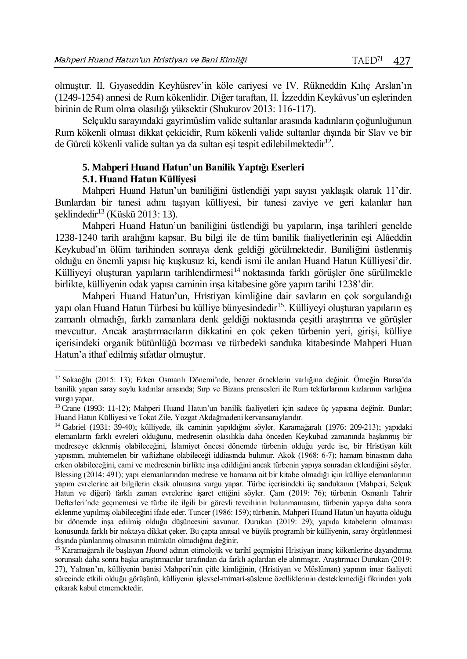olmuştur. II. Gıyaseddin Keyhüsrev'in köle cariyesi ve IV. Rükneddin Kılıç Arslan'ın (1249-1254) annesi de Rum kökenlidir. Diğer taraftan, II. İzzeddin Keykâvus'un eşlerinden birinin de Rum olma olasılığı yüksektir (Shukurov 2013: 116-117).

Selçuklu sarayındaki gayrimüslim valide sultanlar arasında kadınların çoğunluğunun Rum kökenli olması dikkat çekicidir, Rum kökenli valide sultanlar dışında bir Slav ve bir de Gürcü kökenli valide sultan ya da sultan eşi tespit edilebilmektedir<sup>12</sup>.

# **5. Mahperi Huand Hatun'un Banilik Yaptığı Eserleri**

## **5.1. Huand Hatun Külliyesi**

l

Mahperi Huand Hatun'un baniliğini üstlendiği yapı sayısı yaklaşık olarak 11'dir. Bunlardan bir tanesi adını taşıyan külliyesi, bir tanesi zaviye ve geri kalanlar han şeklindedir<sup>13</sup> (Küskü 2013: 13).

Mahperi Huand Hatun'un baniliğini üstlendiği bu yapıların, inşa tarihleri genelde 1238-1240 tarih aralığını kapsar. Bu bilgi ile de tüm banilik faaliyetlerinin eşi Alâeddin Keykubad'ın ölüm tarihinden sonraya denk geldiği görülmektedir. Baniliğini üstlenmiş olduğu en önemli yapısı hiç kuşkusuz ki, kendi ismi ile anılan Huand Hatun Külliyesi'dir. Külliyeyi oluşturan yapıların tarihlendirmesi<sup>14</sup> noktasında farklı görüşler öne sürülmekle birlikte, külliyenin odak yapısı caminin inşa kitabesine göre yapım tarihi 1238'dir.

Mahperi Huand Hatun'un, Hristiyan kimliğine dair savların en çok sorgulandığı yapı olan Huand Hatun Türbesi bu külliye bünyesindedir<sup>15</sup>. Külliyeyi oluşturan yapıların eş zamanlı olmadığı, farklı zamanlara denk geldiği noktasında çeşitli araştırma ve görüşler mevcuttur. Ancak araştırmacıların dikkatini en çok çeken türbenin yeri, girişi, külliye içerisindeki organik bütünlüğü bozması ve türbedeki sanduka kitabesinde Mahperi Huan Hatun'a ithaf edilmiş sıfatlar olmuştur.

<sup>12</sup> Sakaoğlu (2015: 13); Erken Osmanlı Dönemi'nde, benzer örneklerin varlığına değinir. Örneğin Bursa'da banilik yapan saray soylu kadınlar arasında; Sırp ve Bizans prensesleri ile Rum tekfurlarının kızlarının varlığına vurgu yapar.

<sup>&</sup>lt;sup>13</sup> Crane (1993: 11-12); Mahperi Huand Hatun'un banilik faaliyetleri için sadece üç yapısına değinir. Bunlar; Huand Hatun Külliyesi ve Tokat Zile, Yozgat Akdağmadeni kervansaraylarıdır.

<sup>14</sup> Gabriel (1931: 39-40); külliyede, ilk caminin yapıldığını söyler. Karamağaralı (1976: 209-213); yapıdaki elemanların farklı evreleri olduğunu, medresenin olasılıkla daha önceden Keykubad zamanında başlanmış bir medreseye eklenmiş olabileceğini, İslamiyet öncesi dönemde türbenin olduğu yerde ise, bir Hristiyan kült yapısının, muhtemelen bir vaftizhane olabileceği iddiasında bulunur. Akok (1968: 6-7); hamam binasının daha erken olabileceğini, cami ve medresenin birlikte inşa edildiğini ancak türbenin yapıya sonradan eklendiğini söyler. Blessing (2014: 491); yapı elemanlarından medrese ve hamama ait bir kitabe olmadığı için külliye elemanlarının yapım evrelerine ait bilgilerin eksik olmasına vurgu yapar. Türbe içerisindeki üç sandukanın (Mahperi, Selçuk Hatun ve diğeri) farklı zaman evrelerine işaret ettiğini söyler. Çam (2019: 76); türbenin Osmanlı Tahrir Defterleri'nde geçmemesi ve türbe ile ilgili bir görevli tevcihinin bulunmamasını, türbenin yapıya daha sonra eklenme yapılmış olabileceğini ifade eder. Tuncer (1986: 159); türbenin, Mahperi Huand Hatun'un hayatta olduğu bir dönemde inşa edilmiş olduğu düşüncesini savunur. Durukan (2019: 29); yapıda kitabelerin olmaması konusunda farklı bir noktaya dikkat çeker. Bu çapta anıtsal ve büyük programlı bir külliyenin, saray örgütlenmesi dışında planlanmış olmasının mümkün olmadığına değinir.

<sup>15</sup> Karamağaralı ile başlayan *Huand* adının etimolojik ve tarihî geçmişini Hristiyan inanç kökenlerine dayandırma sorunsalı daha sonra başka araştırmacılar tarafından da farklı açılardan ele alınmıştır. Araştırmacı Durukan (2019: 27), Yalman'ın, külliyenin banisi Mahperi'nin çifte kimliğinin, (Hristiyan ve Müslüman) yapının imar faaliyeti sürecinde etkili olduğu görüşünü, külliyenin işlevsel-mimari-süsleme özelliklerinin desteklemediği fikrinden yola çıkarak kabul etmemektedir.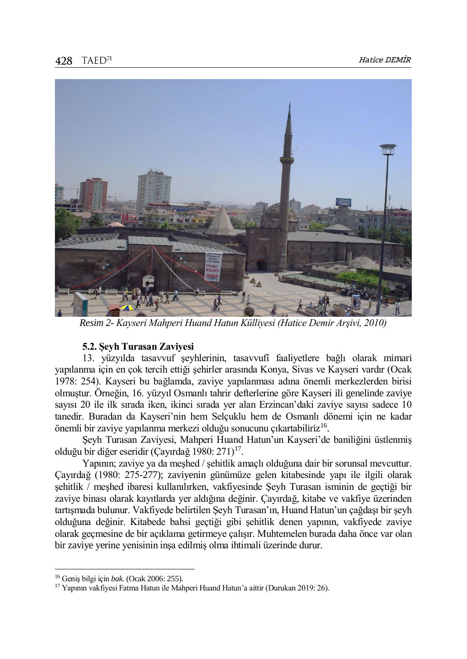

*Resim 2- Kayseri Mahperi Huand Hatun Külliyesi (Hatice Demir Arşivi, 2010)*

## **5.2. Şeyh Turasan Zaviyesi**

13. yüzyılda tasavvuf şeyhlerinin, tasavvufî faaliyetlere bağlı olarak mimari yapılanma için en çok tercih ettiği şehirler arasında Konya, Sivas ve Kayseri vardır (Ocak 1978: 254). Kayseri bu bağlamda, zaviye yapılanması adına önemli merkezlerden birisi olmuştur. Örneğin, 16. yüzyıl Osmanlı tahrir defterlerine göre Kayseri ili genelinde zaviye sayısı 20 ile ilk sırada iken, ikinci sırada yer alan Erzincan'daki zaviye sayısı sadece 10 tanedir. Buradan da Kayseri'nin hem Selçuklu hem de Osmanlı dönemi için ne kadar önemli bir zaviye yapılanma merkezi olduğu sonucunu çıkartabiliriz<sup>16</sup>.

Şeyh Turasan Zaviyesi, Mahperi Huand Hatun'un Kayseri'de baniliğini üstlenmiş olduğu bir diğer eseridir (Çayırdağ 1980: 271) $^{17}$ .

Yapının; zaviye ya da meşhed / şehitlik amaçlı olduğuna dair bir sorunsal mevcuttur. Çayırdağ (1980: 275-277); zaviyenin günümüze gelen kitabesinde yapı ile ilgili olarak şehitlik / meşhed ibaresi kullanılırken, vakfiyesinde Şeyh Turasan isminin de geçtiği bir zaviye binası olarak kayıtlarda yer aldığına değinir. Çayırdağ, kitabe ve vakfiye üzerinden tartışmada bulunur. Vakfiyede belirtilen Şeyh Turasan'ın, Huand Hatun'un çağdaşı bir şeyh olduğuna değinir. Kitabede bahsi geçtiği gibi şehitlik denen yapının, vakfiyede zaviye olarak geçmesine de bir açıklama getirmeye çalışır. Muhtemelen burada daha önce var olan bir zaviye yerine yenisinin inşa edilmiş olma ihtimali üzerinde durur.

<sup>16</sup> Geniş bilgi için *bak.* (Ocak 2006: 255).

<sup>17</sup> Yapının vakfiyesi Fatma Hatun ile Mahperi Huand Hatun'a aittir (Durukan 2019: 26).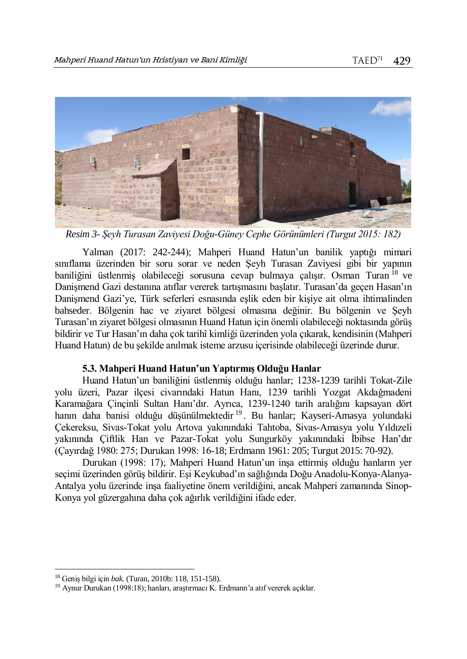

*Resim 3- Şeyh Turasan Zaviyesi Doğu-Güney Cephe Görünümleri (Turgut 2015: 182)*

Yalman (2017: 242-244); Mahperi Huand Hatun'un banilik yaptığı mimari sınıflama üzerinden bir soru sorar ve neden Şeyh Turasan Zaviyesi gibi bir yapının baniliğini üstlenmiş olabileceği sorusuna cevap bulmaya çalışır. Osman Turan <sup>18</sup> ve Danişmend Gazi destanına atıflar vererek tartışmasını başlatır. Turasan'da geçen Hasan'ın Danişmend Gazi'ye, Türk seferleri esnasında eşlik eden bir kişiye ait olma ihtimalinden bahseder. Bölgenin hac ve ziyaret bölgesi olmasına değinir. Bu bölgenin ve Şeyh Turasan'ın ziyaret bölgesi olmasının Huand Hatun için önemli olabileceği noktasında görüş bildirir ve Tur Hasan'ın daha çok tarihî kimliği üzerinden yola çıkarak, kendisinin (Mahperi Huand Hatun) de bu şekilde anılmak isteme arzusu içerisinde olabileceği üzerinde durur.

## **5.3. Mahperi Huand Hatun'un Yaptırmış Olduğu Hanlar**

Huand Hatun'un baniliğini üstlenmiş olduğu hanlar; 1238-1239 tarihli Tokat-Zile yolu üzeri, Pazar ilçesi civarındaki Hatun Hanı, 1239 tarihli Yozgat Akdağmadeni Karamağara Çinçinli Sultan Hanı'dır. Ayrıca, 1239-1240 tarih aralığını kapsayan dört hanın daha banisi olduğu düşünülmektedir<sup>19</sup>. Bu hanlar; Kayseri-Amasya yolundaki Çekereksu, Sivas-Tokat yolu Artova yakınındaki Tahtoba, Sivas-Amasya yolu Yıldızeli yakınında Çiftlik Han ve Pazar-Tokat yolu Sungurköy yakınındaki İbibse Han'dır (Çayırdağ 1980: 275; Durukan 1998: 16-18; Erdmann 1961: 205; Turgut 2015: 70-92).

Durukan (1998: 17); Mahperi Huand Hatun'un inşa ettirmiş olduğu hanların yer seçimi üzerinden görüş bildirir. Eşi Keykubad'ın sağlığında Doğu Anadolu-Konya-Alanya-Antalya yolu üzerinde inşa faaliyetine önem verildiğini, ancak Mahperi zamanında Sinop-Konya yol güzergahına daha çok ağırlık verildiğini ifade eder.

<sup>18</sup> Geniş bilgi için *bak.* (Turan, 2010b: 118, 151-158).

<sup>19</sup> Aynur Durukan (1998:18); hanları, araştırmacı K. Erdmann'a atıf vererek açıklar.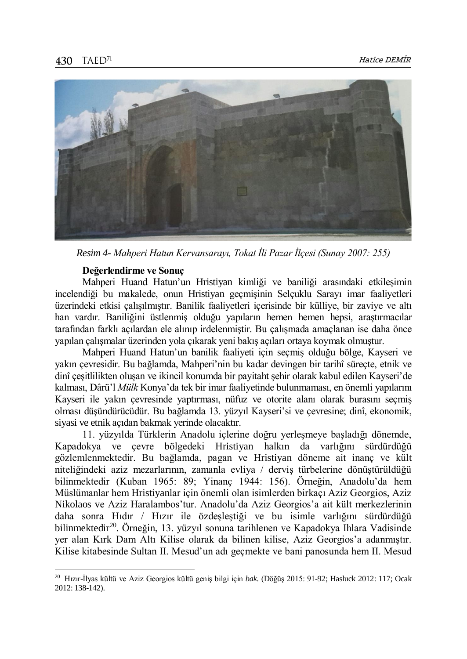

*Resim 4- Mahperi Hatun Kervansarayı, Tokat İli Pazar İlçesi (Sunay 2007: 255)*

### **Değerlendirme ve Sonuç**

Mahperi Huand Hatun'un Hristiyan kimliği ve baniliği arasındaki etkileşimin incelendiği bu makalede, onun Hristiyan geçmişinin Selçuklu Sarayı imar faaliyetleri üzerindeki etkisi çalışılmıştır. Banilik faaliyetleri içerisinde bir külliye, bir zaviye ve altı han vardır. Baniliğini üstlenmiş olduğu yapıların hemen hemen hepsi, araştırmacılar tarafından farklı açılardan ele alınıp irdelenmiştir. Bu çalışmada amaçlanan ise daha önce yapılan çalışmalar üzerinden yola çıkarak yeni bakış açıları ortaya koymak olmuştur.

Mahperi Huand Hatun'un banilik faaliyeti için seçmiş olduğu bölge, Kayseri ve yakın çevresidir. Bu bağlamda, Mahperi'nin bu kadar devingen bir tarihî süreçte, etnik ve dinî çeşitlilikten oluşan ve ikincil konumda bir payitaht şehir olarak kabul edilen Kayseri'de kalması, Dârü'l *Mülk* Konya'da tek bir imar faaliyetinde bulunmaması, en önemli yapılarını Kayseri ile yakın çevresinde yaptırması, nüfuz ve otorite alanı olarak burasını seçmiş olması düşündürücüdür. Bu bağlamda 13. yüzyıl Kayseri'si ve çevresine; dinî, ekonomik, siyasi ve etnik açıdan bakmak yerinde olacaktır.

11. yüzyılda Türklerin Anadolu içlerine doğru yerleşmeye başladığı dönemde, Kapadokya ve çevre bölgedeki Hristiyan halkın da varlığını sürdürdüğü gözlemlenmektedir. Bu bağlamda, pagan ve Hristiyan döneme ait inanç ve kült niteliğindeki aziz mezarlarının, zamanla evliya / derviş türbelerine dönüştürüldüğü bilinmektedir (Kuban 1965: 89; Yinanç 1944: 156). Örneğin, Anadolu'da hem Müslümanlar hem Hristiyanlar için önemli olan isimlerden birkaçı Aziz Georgios, Aziz Nikolaos ve Aziz Haralambos'tur. Anadolu'da Aziz Georgios'a ait kült merkezlerinin daha sonra Hıdır / Hızır ile özdeşleştiği ve bu isimle varlığını sürdürdüğü bilinmektedir<sup>20</sup>. Örneğin, 13. yüzyıl sonuna tarihlenen ve Kapadokya Ihlara Vadisinde yer alan Kırk Dam Altı Kilise olarak da bilinen kilise, Aziz Georgios'a adanmıştır. Kilise kitabesinde Sultan II. Mesud'un adı geçmekte ve bani panosunda hem II. Mesud

<sup>20</sup> Hızır-İlyas kültü ve Aziz Georgios kültü geniş bilgi için *bak.* (Döğüş 2015: 91-92; Hasluck 2012: 117; Ocak 2012: 138-142).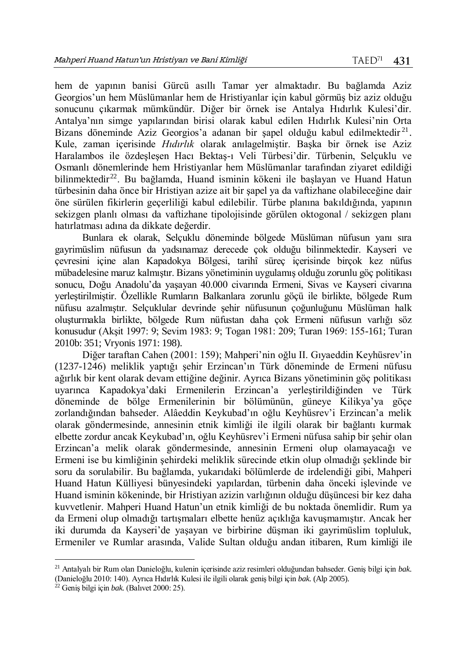hem de yapının banisi Gürcü asıllı Tamar yer almaktadır. Bu bağlamda Aziz Georgios'un hem Müslümanlar hem de Hristiyanlar için kabul görmüş biz aziz olduğu sonucunu çıkarmak mümkündür. Diğer bir örnek ise Antalya Hıdırlık Kulesi'dir. Antalya'nın simge yapılarından birisi olarak kabul edilen Hıdırlık Kulesi'nin Orta Bizans döneminde Aziz Georgios'a adanan bir şapel olduğu kabul edilmektedir<sup>21</sup>. Kule, zaman içerisinde *Hıdırlık* olarak anılagelmiştir. Başka bir örnek ise Aziz Haralambos ile özdeşleşen Hacı Bektaş-ı Veli Türbesi'dir. Türbenin, Selçuklu ve Osmanlı dönemlerinde hem Hristiyanlar hem Müslümanlar tarafından ziyaret edildiği bilinmektedir<sup>22</sup>. Bu bağlamda, Huand isminin kökeni ile başlayan ve Huand Hatun türbesinin daha önce bir Hristiyan azize ait bir şapel ya da vaftizhane olabileceğine dair öne sürülen fikirlerin geçerliliği kabul edilebilir. Türbe planına bakıldığında, yapının sekizgen planlı olması da vaftizhane tipolojisinde görülen oktogonal / sekizgen planı hatırlatması adına da dikkate değerdir.

Bunlara ek olarak, Selçuklu döneminde bölgede Müslüman nüfusun yanı sıra gayrimüslim nüfusun da yadsınamaz derecede çok olduğu bilinmektedir. Kayseri ve çevresini içine alan Kapadokya Bölgesi, tarihî süreç içerisinde birçok kez nüfus mübadelesine maruz kalmıştır. Bizans yönetiminin uygulamış olduğu zorunlu göç politikası sonucu, Doğu Anadolu'da yaşayan 40.000 civarında Ermeni, Sivas ve Kayseri civarına yerleştirilmiştir. Özellikle Rumların Balkanlara zorunlu göçü ile birlikte, bölgede Rum nüfusu azalmıştır. Selçuklular devrinde şehir nüfusunun çoğunluğunu Müslüman halk oluşturmakla birlikte, bölgede Rum nüfustan daha çok Ermeni nüfusun varlığı söz konusudur (Akşit 1997: 9; Sevim 1983: 9; Togan 1981: 209; Turan 1969: 155-161; Turan 2010b: 351; Vryonis 1971: 198).

Diğer taraftan Cahen (2001: 159); Mahperi'nin oğlu II. Gıyaeddin Keyhüsrev'in (1237-1246) meliklik yaptığı şehir Erzincan'ın Türk döneminde de Ermeni nüfusu ağırlık bir kent olarak devam ettiğine değinir. Ayrıca Bizans yönetiminin göç politikası uyarınca Kapadokya'daki Ermenilerin Erzincan'a yerleştirildiğinden ve Türk döneminde de bölge Ermenilerinin bir bölümünün, güneye Kilikya'ya göçe zorlandığından bahseder. Alâeddin Keykubad'ın oğlu Keyhüsrev'i Erzincan'a melik olarak göndermesinde, annesinin etnik kimliği ile ilgili olarak bir bağlantı kurmak elbette zordur ancak Keykubad'ın, oğlu Keyhüsrev'i Ermeni nüfusa sahip bir şehir olan Erzincan'a melik olarak göndermesinde, annesinin Ermeni olup olamayacağı ve Ermeni ise bu kimliğinin şehirdeki meliklik sürecinde etkin olup olmadığı şeklinde bir soru da sorulabilir. Bu bağlamda, yukarıdaki bölümlerde de irdelendiği gibi, Mahperi Huand Hatun Külliyesi bünyesindeki yapılardan, türbenin daha önceki işlevinde ve Huand isminin kökeninde, bir Hristiyan azizin varlığının olduğu düşüncesi bir kez daha kuvvetlenir. Mahperi Huand Hatun'un etnik kimliği de bu noktada önemlidir. Rum ya da Ermeni olup olmadığı tartışmaları elbette henüz açıklığa kavuşmamıştır. Ancak her iki durumda da Kayseri'de yaşayan ve birbirine düşman iki gayrimüslim topluluk, Ermeniler ve Rumlar arasında, Valide Sultan olduğu andan itibaren, Rum kimliği ile

<sup>21</sup> Antalyalı bir Rum olan Danieloğlu, kulenin içerisinde aziz resimleri olduğundan bahseder. Geniş bilgi için *bak.*  (Danieloğlu 2010: 140). Ayrıca Hıdırlık Kulesi ile ilgili olarak geniş bilgi için *bak.* (Alp 2005).

<sup>22</sup> Geniş bilgi için *bak.* (Balıvet 2000: 25).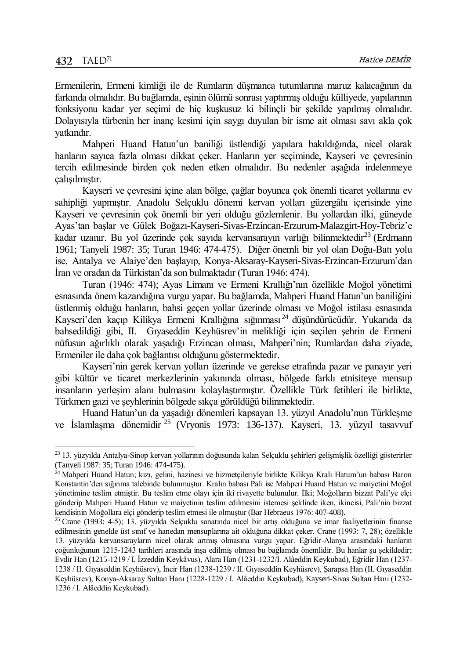Ermenilerin, Ermeni kimliği ile de Rumların düşmanca tutumlarına maruz kalacağının da farkında olmalıdır. Bu bağlamda, eşinin ölümü sonrası yaptırmış olduğu külliyede, yapılarının fonksiyonu kadar yer seçimi de hiç kuşkusuz ki bilinçli bir şekilde yapılmış olmalıdır. Dolayısıyla türbenin her inanç kesimi için saygı duyulan bir isme ait olması savı akla çok yatkındır.

Mahperi Huand Hatun'un baniliği üstlendiği yapılara bakıldığında, nicel olarak hanların sayıca fazla olması dikkat çeker. Hanların yer seçiminde, Kayseri ve çevresinin tercih edilmesinde birden çok neden etken olmalıdır. Bu nedenler aşağıda irdelenmeye çalışılmıştır.

Kayseri ve çevresini içine alan bölge, çağlar boyunca çok önemli ticaret yollarına ev sahipliği yapmıştır. Anadolu Selçuklu dönemi kervan yolları güzergâhı içerisinde yine Kayseri ve çevresinin çok önemli bir yeri olduğu gözlemlenir. Bu yollardan ilki, güneyde Ayas'tan başlar ve Gülek Boğazı-Kayseri-Sivas-Erzincan-Erzurum-Malazgirt-Hoy-Tebriz'e kadar uzanır. Bu yol üzerinde çok sayıda kervansarayın varlığı bilinmektedir<sup>23</sup> (Erdmann 1961; Tanyeli 1987: 35; Turan 1946: 474-475). Diğer önemli bir yol olan Doğu-Batı yolu ise, Antalya ve Alaiye'den başlayıp, Konya-Aksaray-Kayseri-Sivas-Erzincan-Erzurum'dan İran ve oradan da Türkistan'da son bulmaktadır (Turan 1946: 474).

Turan (1946: 474); Ayas Limanı ve Ermeni Krallığı'nın özellikle Moğol yönetimi esnasında önem kazandığına vurgu yapar. Bu bağlamda, Mahperi Huand Hatun'un baniliğini üstlenmiş olduğu hanların, bahsi geçen yollar üzerinde olması ve Moğol istilası esnasında Kayseri'den kaçıp Kilikya Ermeni Krallığına sığınması <sup>24</sup> düşündürücüdür. Yukarıda da bahsedildiği gibi, II. Gıyaseddin Keyhüsrev'in melikliği için seçilen şehrin de Ermeni nüfusun ağırlıklı olarak yaşadığı Erzincan olması, Mahperi'nin; Rumlardan daha ziyade, Ermeniler ile daha çok bağlantısı olduğunu göstermektedir.

Kayseri'nin gerek kervan yolları üzerinde ve gerekse etrafında pazar ve panayır yeri gibi kültür ve ticaret merkezlerinin yakınında olması, bölgede farklı etnisiteye mensup insanların yerleşim alanı bulmasını kolaylaştırmıştır. Özellikle Türk fetihleri ile birlikte, Türkmen gazi ve şeyhlerinin bölgede sıkça görüldüğü bilinmektedir.

Huand Hatun'un da yaşadığı dönemleri kapsayan 13. yüzyıl Anadolu'nun Türkleşme ve İslamlaşma dönemidir <sup>25</sup> (Vryonis 1973: 136-137). Kayseri, 13. yüzyıl tasavvuf

<sup>&</sup>lt;sup>23</sup> 13. yüzyılda Antalya-Sinop kervan yollarının doğusunda kalan Selçuklu şehirleri gelişmişlik özelliği gösterirler (Tanyeli 1987: 35; Turan 1946: 474-475).

<sup>&</sup>lt;sup>24</sup> Mahperi Huand Hatun; kızı, gelini, hazinesi ve hizmetçileriyle birlikte Kilikya Kralı Hatum'un babası Baron Konstantin'den sığınma talebinde bulunmuştur. Kralın babası Pali ise Mahperi Huand Hatun ve maiyetini Moğol yönetimine teslim etmiştir. Bu teslim etme olayı için iki rivayette bulunulur. İlki; Moğolların bizzat Pali'ye elçi gönderip Mahperi Huand Hatun ve maiyetinin teslim edilmesini istemesi şeklinde iken, ikincisi, Pali'nin bizzat kendisinin Moğollara elçi gönderip teslim etmesi ile olmuştur (Bar Hebraeus 1976: 407-408).

<sup>25</sup> Crane (1993: 4-5); 13. yüzyılda Selçuklu sanatında nicel bir artış olduğuna ve imar faaliyetlerinin finanse edilmesinin genelde üst sınıf ve hanedan mensuplarına ait olduğuna dikkat çeker. Crane (1993: 7, 28); özellikle 13. yüzyılda kervansarayların nicel olarak artmış olmasına vurgu yapar. Eğridir-Alanya arasındaki hanların çoğunluğunun 1215-1243 tarihleri arasında inşa edilmiş olması bu bağlamda önemlidir. Bu hanlar şu şekildedir; Evdir Han (1215-1219 / I. İzzeddin Keykâvus), Alara Han (1231-1232/I. Alâeddin Keykubad), Eğridir Han (1237- 1238 / II. Gıyaseddin Keyhüsrev), İncir Han (1238-1239 / II. Gıyaseddin Keyhüsrev), Şarapsa Han (II. Gıyaseddin Keyhüsrev), Konya-Aksaray Sultan Hanı (1228-1229 / I. Alâeddin Keykubad), Kayseri-Sivas Sultan Hanı (1232- 1236 / I. Alâeddin Keykubad).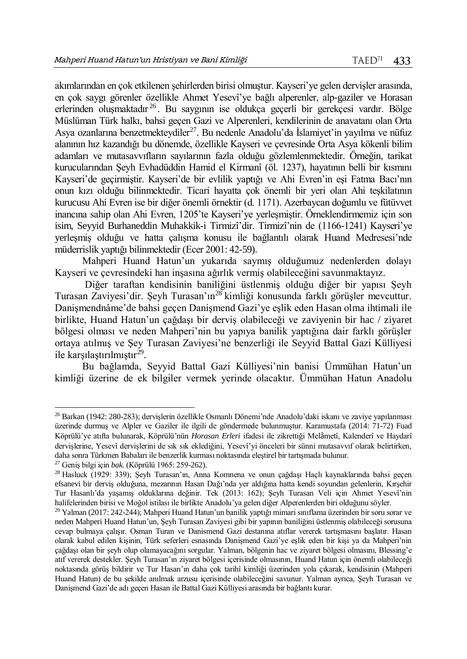akımlarından en çok etkilenen şehirlerden birisi olmuştur. Kayseri'ye gelen dervişler arasında, en çok saygı görenler özellikle Ahmet Yesevî'ye bağlı alperenler, alp-gaziler ve Horasan erlerinden oluşmaktadır <sup>26</sup> . Bu saygının ise oldukça geçerli bir gerekçesi vardır. Bölge Müslüman Türk halkı, bahsi geçen Gazi ve Alperenleri, kendilerinin de anavatanı olan Orta Asya ozanlarına benzetmekteydiler<sup>27</sup>. Bu nedenle Anadolu'da İslamiyet'in yayılma ve nüfuz alanının hız kazandığı bu dönemde, özellikle Kayseri ve çevresinde Orta Asya kökenli bilim adamları ve mutasavvıfların sayılarının fazla olduğu gözlemlenmektedir. Örneğin, tarikat kurucularından Şeyh Evhadüddin Hamid el Kirmanî (öl. 1237), hayatının belli bir kısmını Kayseri'de geçirmiştir. Kayseri'de bir evlilik yaptığı ve Ahi Evren'in eşi Fatma Bacı'nın onun kızı olduğu bilinmektedir. Ticari hayatta çok önemli bir yeri olan Ahi teşkilatının kurucusu Ahi Evren ise bir diğer önemli örnektir (d. 1171). Azerbaycan doğumlu ve fütüvvet inancına sahip olan Ahi Evren, 1205'te Kayseri'ye yerleşmiştir. Örneklendirmemiz için son isim, Seyyid Burhaneddin Muhakkik-i Tirmizî'dir. Tirmizî'nin de (1166-1241) Kayseri'ye yerleşmiş olduğu ve hatta çalışma konusu ile bağlantılı olarak Huand Medresesi'nde müderrislik yaptığı bilinmektedir (Ecer 2001: 42-59).

Mahperi Huand Hatun'un yukarıda saymış olduğumuz nedenlerden dolayı Kayseri ve çevresindeki han inşasına ağırlık vermiş olabileceğini savunmaktayız.

Diğer taraftan kendisinin baniliğini üstlenmiş olduğu diğer bir yapısı Şeyh Turasan Zaviyesi'dir. Seyh Turasan'ın<sup>28</sup> kimliği konusunda farklı görüşler meycuttur. Danişmendnâme'de bahsi geçen Danişmend Gazi'ye eşlik eden Hasan olma ihtimali ile birlikte, Huand Hatun'un çağdaşı bir derviş olabileceği ve zaviyenin bir hac / ziyaret bölgesi olması ve neden Mahperi'nin bu yapıya banilik yaptığına dair farklı görüşler ortaya atılmış ve Şey Turasan Zaviyesi'ne benzerliği ile Seyyid Battal Gazi Külliyesi ile karşılaştırılmıştır<sup>29</sup>.

Bu bağlamda, Seyyid Battal Gazi Külliyesi'nin banisi Ümmühan Hatun'un kimliği üzerine de ek bilgiler vermek yerinde olacaktır. Ümmühan Hatun Anadolu

<sup>26</sup> Barkan (1942: 280-283); dervişlerin özellikle Osmanlı Dönemi'nde Anadolu'daki iskanı ve zaviye yapılanması üzerinde durmuş ve Alpler ve Gaziler ile ilgili de göndermede bulunmuştur. Karamustafa (2014: 71-72) Fuad Köprülü'ye atıfta bulunarak, Köprülü'nün *Horasan Erleri* ifadesi ile zikrettiği Melâmetî, Kalenderî ve Haydarî dervişlerine, Yesevî dervişlerini de sık sık eklediğini, Yesevî'yi önceleri bir sünni mutasavvıf olarak belirtirken, daha sonra Türkmen Babaları ile benzerlik kurması noktasında eleştirel bir tartışmada bulunur.

<sup>27</sup> Geniş bilgi için *bak.* (Köprülü 1965: 259-262).

<sup>28</sup> Hasluck (1929: 339); Şeyh Turasan'ın, Anna Komnena ve onun çağdaşı Haçlı kaynaklarında bahsi geçen efsanevi bir derviş olduğuna, mezarının Hasan Dağı'nda yer aldığına hatta kendi soyundan gelenlerin, Kırşehir Tur Hasanlı'da yaşamış olduklarına değinir. Tek (2013: 162); Şeyh Turasan Veli için Ahmet Yesevî'nin halifelerinden birisi ve Moğol istilası ile birlikte Anadolu'ya gelen diğer Alperenlerden biri olduğunu söyler.

<sup>29</sup> Yalman (2017: 242-244); Mahperi Huand Hatun'un banilik yaptığı mimari sınıflama üzerinden bir soru sorar ve neden Mahperi Huand Hatun'un, Şeyh Turasan Zaviyesi gibi bir yapının baniliğini üstlenmiş olabileceği sorusuna cevap bulmaya çalışır. Osman Turan ve Danismend Gazi destanına atıflar vererek tartışmasını başlatır. Hasan olarak kabul edilen kişinin, Türk seferleri esnasında Danişmend Gazi'ye eşlik eden bir kişi ya da Mahperi'nin çağdaşı olan bir şeyh olup olamayacağını sorgular. Yalman, bölgenin hac ve ziyaret bölgesi olmasını, Blessing'e atıf vererek destekler. Şeyh Turasan'ın ziyaret bölgesi içerisinde olmasının, Huand Hatun için önemli olabileceği noktasında görüş bildirir ve Tur Hasan'ın daha çok tarihî kimliği üzerinden yola çıkarak, kendisinin (Mahperi Huand Hatun) de bu şekilde anılmak arzusu içerisinde olabileceğini savunur. Yalman ayrıca, Şeyh Turasan ve Danişmend Gazi'de adı geçen Hasan ile Battal Gazi Külliyesi arasında bir bağlantı kurar.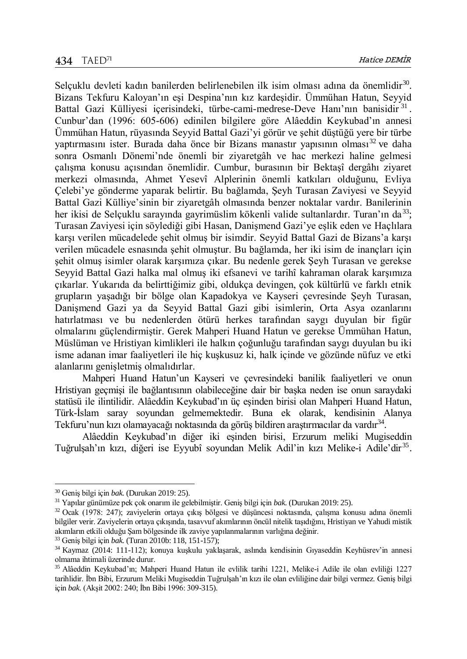Selçuklu devleti kadın banilerden belirlenebilen ilk isim olması adına da önemlidir<sup>30</sup>. Bizans Tekfuru Kaloyan'ın eşi Despina'nın kız kardeşidir. Ümmühan Hatun, Seyyid Battal Gazi Külliyesi içerisindeki, türbe-cami-medrese-Deve Hanı'nın banisidir<sup>31</sup>. Cunbur'dan (1996: 605-606) edinilen bilgilere göre Alâeddin Keykubad'ın annesi Ümmühan Hatun, rüyasında Seyyid Battal Gazi'yi görür ve şehit düştüğü yere bir türbe yaptırmasını ister. Burada daha önce bir Bizans manastır yapısının olması<sup>32</sup> ve daha sonra Osmanlı Dönemi'nde önemli bir ziyaretgâh ve hac merkezi haline gelmesi çalışma konusu açısından önemlidir. Cumbur, burasının bir Bektaşî dergâhı ziyaret merkezi olmasında, Ahmet Yesevî Alplerinin önemli katkıları olduğunu, Evliya Çelebi'ye gönderme yaparak belirtir. Bu bağlamda, Şeyh Turasan Zaviyesi ve Seyyid Battal Gazi Külliye'sinin bir ziyaretgâh olmasında benzer noktalar vardır. Banilerinin her ikisi de Selçuklu sarayında gayrimüslim kökenli valide sultanlardır. Turan'ın da<sup>33</sup>; Turasan Zaviyesi için söylediği gibi Hasan, Danişmend Gazi'ye eşlik eden ve Haçlılara karşı verilen mücadelede şehit olmuş bir isimdir. Seyyid Battal Gazi de Bizans'a karşı verilen mücadele esnasında şehit olmuştur. Bu bağlamda, her iki isim de inançları için şehit olmuş isimler olarak karşımıza çıkar. Bu nedenle gerek Şeyh Turasan ve gerekse Seyyid Battal Gazi halka mal olmuş iki efsanevi ve tarihî kahraman olarak karşımıza çıkarlar. Yukarıda da belirttiğimiz gibi, oldukça devingen, çok kültürlü ve farklı etnik grupların yaşadığı bir bölge olan Kapadokya ve Kayseri çevresinde Şeyh Turasan, Danişmend Gazi ya da Seyyid Battal Gazi gibi isimlerin, Orta Asya ozanlarını hatırlatması ve bu nedenlerden ötürü herkes tarafından saygı duyulan bir figür olmalarını güçlendirmiştir. Gerek Mahperi Huand Hatun ve gerekse Ümmühan Hatun, Müslüman ve Hristiyan kimlikleri ile halkın çoğunluğu tarafından saygı duyulan bu iki isme adanan imar faaliyetleri ile hiç kuşkusuz ki, halk içinde ve gözünde nüfuz ve etki alanlarını genişletmiş olmalıdırlar.

Mahperi Huand Hatun'un Kayseri ve çevresindeki banilik faaliyetleri ve onun Hristiyan geçmişi ile bağlantısının olabileceğine dair bir başka neden ise onun saraydaki statüsü ile ilintilidir. Alâeddin Keykubad'ın üç eşinden birisi olan Mahperi Huand Hatun, Türk-İslam saray soyundan gelmemektedir. Buna ek olarak, kendisinin Alanya Tekfuru'nun kızı olamayacağı noktasında da görüş bildiren araştırmacılar da vardır $^{34}$ .

Alâeddin Keykubad'ın diğer iki eşinden birisi, Erzurum meliki Mugiseddin Tuğrulşah'ın kızı, diğeri ise Eyyubî soyundan Melik Adil'in kızı Melike-i Adile'dir<sup>35</sup>.

l

<sup>30</sup> Geniş bilgi için *bak.* (Durukan 2019: 25).

<sup>31</sup> Yapılar günümüze pek çok onarım ile gelebilmiştir. Geniş bilgi için *bak.* (Durukan 2019: 25).

 $32$  Ocak (1978: 247); zaviyelerin ortaya çıkış bölgesi ve düşüncesi noktasında, çalışma konusu adına önemli bilgiler verir. Zaviyelerin ortaya çıkışında, tasavvuf akımlarının öncül nitelik taşıdığını, Hristiyan ve Yahudi mistik akımların etkili olduğu Şam bölgesinde ilk zaviye yapılanmalarının varlığına değinir.

<sup>33</sup> Geniş bilgi için *bak.* (Turan 2010b: 118, 151-157);

<sup>34</sup> Kaymaz (2014: 111-112); konuya kuşkulu yaklaşarak, aslında kendisinin Gıyaseddin Keyhüsrev'in annesi olmama ihtimali üzerinde durur.

<sup>35</sup> Alâeddin Keykubad'ın; Mahperi Huand Hatun ile evlilik tarihi 1221, Melike-i Adile ile olan evliliği 1227 tarihlidir. İbn Bibi, Erzurum Meliki Mugiseddin Tuğrulşah'ın kızı ile olan evliliğine dair bilgi vermez. Geniş bilgi için *bak.* (Akşit 2002: 240; İbn Bibi 1996: 309-315).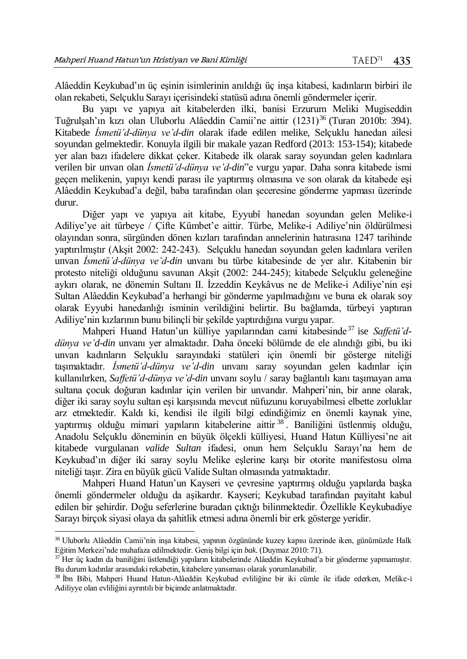Alâeddin Keykubad'ın üç eşinin isimlerinin anıldığı üç inşa kitabesi, kadınların birbiri ile olan rekabeti, Selçuklu Sarayı içerisindeki statüsü adına önemli göndermeler içerir.

Bu yapı ve yapıya ait kitabelerden ilki, banisi Erzurum Meliki Mugiseddin Tuğrulşah'ın kızı olan Uluborlu Alâeddin Camii'ne aittir (1231)<sup>36</sup> (Turan 2010b: 394). Kitabede *İsmetü'd-dünya ve'd-din* olarak ifade edilen melike, Selçuklu hanedan ailesi soyundan gelmektedir. Konuyla ilgili bir makale yazan Redford (2013: 153-154); kitabede yer alan bazı ifadelere dikkat çeker. Kitabede ilk olarak saray soyundan gelen kadınlara verilen bir unvan olan *İsmetü'd-dünya ve'd-din*"e vurgu yapar. Daha sonra kitabede ismi geçen melikenin, yapıyı kendi parası ile yaptırmış olmasına ve son olarak da kitabede eşi Alâeddin Keykubad'a değil, baba tarafından olan şeceresine gönderme yapması üzerinde durur.

Diğer yapı ve yapıya ait kitabe, Eyyubî hanedan soyundan gelen Melike-i Adiliye'ye ait türbeye / Çifte Kümbet'e aittir. Türbe, Melike-i Adiliye'nin öldürülmesi olayından sonra, sürgünden dönen kızları tarafından annelerinin hatırasına 1247 tarihinde yaptırılmıştır (Akşit 2002: 242-243). Selçuklu hanedan soyundan gelen kadınlara verilen unvan *İsmetü'd-dünya ve'd-din* unvanı bu türbe kitabesinde de yer alır. Kitabenin bir protesto niteliği olduğunu savunan Akşit (2002: 244-245); kitabede Selçuklu geleneğine aykırı olarak, ne dönemin Sultanı II. İzzeddin Keykâvus ne de Melike-i Adiliye'nin eşi Sultan Alâeddin Keykubad'a herhangi bir gönderme yapılmadığını ve buna ek olarak soy olarak Eyyubi hanedanlığı isminin verildiğini belirtir. Bu bağlamda, türbeyi yaptıran Adiliye'nin kızlarının bunu bilinçli bir şekilde yaptırdığına vurgu yapar.

Mahperi Huand Hatun'un külliye yapılarından cami kitabesinde <sup>37</sup> ise *Saffetü'ddünya ve'd-din* unvanı yer almaktadır. Daha önceki bölümde de ele alındığı gibi, bu iki unvan kadınların Selçuklu sarayındaki statüleri için önemli bir gösterge niteliği taşımaktadır. *İsmetü'd-dünya ve'd-din* unvanı saray soyundan gelen kadınlar için kullanılırken, *Saffetü'd-dünya ve'd-din* unvanı soylu / saray bağlantılı kanı taşımayan ama sultana çocuk doğuran kadınlar için verilen bir unvandır. Mahperi'nin, bir anne olarak, diğer iki saray soylu sultan eşi karşısında mevcut nüfuzunu koruyabilmesi elbette zorluklar arz etmektedir. Kaldı ki, kendisi ile ilgili bilgi edindiğimiz en önemli kaynak yine, yaptırmış olduğu mimari yapıların kitabelerine aittir <sup>38</sup> . Baniliğini üstlenmiş olduğu, Anadolu Selçuklu döneminin en büyük ölçekli külliyesi, Huand Hatun Külliyesi'ne ait kitabede vurgulanan *valide Sultan* ifadesi, onun hem Selçuklu Sarayı'na hem de Keykubad'ın diğer iki saray soylu Melike eşlerine karşı bir otorite manifestosu olma niteliği taşır. Zira en büyük gücü Valide Sultan olmasında yatmaktadır.

Mahperi Huand Hatun'un Kayseri ve çevresine yaptırmış olduğu yapılarda başka önemli göndermeler olduğu da aşikardır. Kayseri; Keykubad tarafından payitaht kabul edilen bir şehirdir. Doğu seferlerine buradan çıktığı bilinmektedir. Özellikle Keykubadiye Sarayı birçok siyasi olaya da şahitlik etmesi adına önemli bir erk gösterge yeridir.

<sup>36</sup> Uluborlu Alâeddin Camii'nin inşa kitabesi, yapının özgününde kuzey kapısı üzerinde iken, günümüzde Halk Eğitim Merkezi'nde muhafaza edilmektedir. Geniş bilgi için *bak.* (Duymaz 2010: 71).

<sup>&</sup>lt;sup>37</sup> Her üç kadın da baniliğini üstlendiği yapıların kitabelerinde Alâeddin Keykubad'a bir gönderme yapmamıştır. Bu durum kadınlar arasındaki rekabetin, kitabelere yansıması olarak yorumlanabilir.

<sup>38</sup> İbn Bibi, Mahperi Huand Hatun-Alâeddin Keykubad evliliğine bir iki cümle ile ifade ederken, Melike-i Adiliyye olan evliliğini ayrıntılı bir biçimde anlatmaktadır.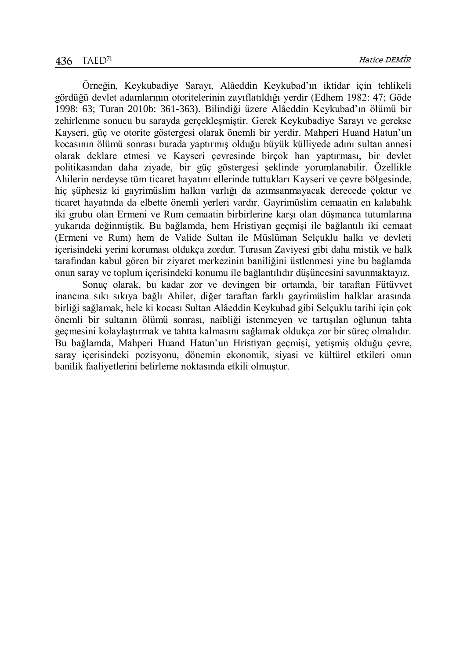Örneğin, Keykubadiye Sarayı, Alâeddin Keykubad'ın iktidar için tehlikeli gördüğü devlet adamlarının otoritelerinin zayıflatıldığı yerdir (Edhem 1982: 47; Göde 1998: 63; Turan 2010b: 361-363). Bilindiği üzere Alâeddin Keykubad'ın ölümü bir zehirlenme sonucu bu sarayda gerçekleşmiştir. Gerek Keykubadiye Sarayı ve gerekse Kayseri, güç ve otorite göstergesi olarak önemli bir yerdir. Mahperi Huand Hatun'un kocasının ölümü sonrası burada yaptırmış olduğu büyük külliyede adını sultan annesi olarak deklare etmesi ve Kayseri çevresinde birçok han yaptırması, bir devlet politikasından daha ziyade, bir güç göstergesi şeklinde yorumlanabilir. Özellikle Ahilerin nerdeyse tüm ticaret hayatını ellerinde tuttukları Kayseri ve çevre bölgesinde, hiç şüphesiz ki gayrimüslim halkın varlığı da azımsanmayacak derecede çoktur ve ticaret hayatında da elbette önemli yerleri vardır. Gayrimüslim cemaatin en kalabalık iki grubu olan Ermeni ve Rum cemaatin birbirlerine karşı olan düşmanca tutumlarına yukarıda değinmiştik. Bu bağlamda, hem Hristiyan geçmişi ile bağlantılı iki cemaat (Ermeni ve Rum) hem de Valide Sultan ile Müslüman Selçuklu halkı ve devleti içerisindeki yerini koruması oldukça zordur. Turasan Zaviyesi gibi daha mistik ve halk tarafından kabul gören bir ziyaret merkezinin baniliğini üstlenmesi yine bu bağlamda onun saray ve toplum içerisindeki konumu ile bağlantılıdır düşüncesini savunmaktayız.

Sonuç olarak, bu kadar zor ve devingen bir ortamda, bir taraftan Fütüvvet inancına sıkı sıkıya bağlı Ahiler, diğer taraftan farklı gayrimüslim halklar arasında birliği sağlamak, hele ki kocası Sultan Alâeddin Keykubad gibi Selçuklu tarihi için çok önemli bir sultanın ölümü sonrası, naibliği istenmeyen ve tartışılan oğlunun tahta geçmesini kolaylaştırmak ve tahtta kalmasını sağlamak oldukça zor bir süreç olmalıdır. Bu bağlamda, Mahperi Huand Hatun'un Hristiyan geçmişi, yetişmiş olduğu çevre, saray içerisindeki pozisyonu, dönemin ekonomik, siyasi ve kültürel etkileri onun banilik faaliyetlerini belirleme noktasında etkili olmuştur.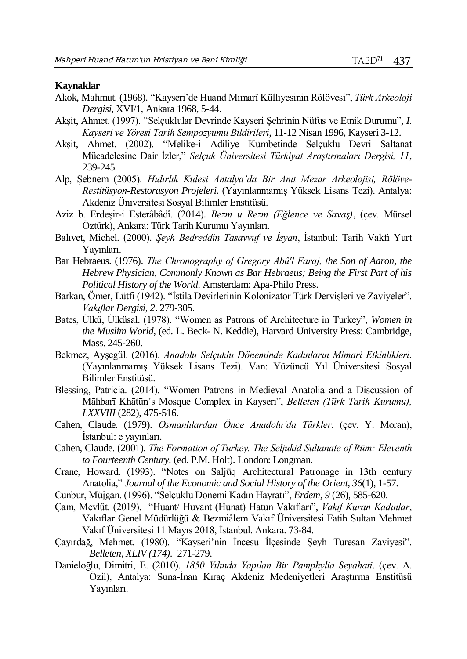#### **Kaynaklar**

- Akok, Mahmut. (1968). "Kayseri'de Huand Mimarî Külliyesinin Rölövesi", *Türk Arkeoloji Dergisi*, XVI/1, Ankara 1968, 5-44.
- Akşit, Ahmet. (1997). "Selçuklular Devrinde Kayseri Şehrinin Nüfus ve Etnik Durumu"*, I. Kayseri ve Yöresi Tarih Sempozyumu Bildirileri*, 11-12 Nisan 1996, Kayseri 3-12.
- Akşit, Ahmet. (2002). "Melike-i Adiliye Kümbetinde Selçuklu Devri Saltanat Mücadelesine Dair İzler," *Selçuk Üniversitesi Türkiyat Araştırmaları Dergisi, 11*, 239-245.
- Alp, Şebnem (2005). *Hıdırlık Kulesi Antalya'da Bir Anıt Mezar Arkeolojisi, Rölöve-Restitüsyon-Restorasyon Projeleri.* (Yayınlanmamış Yüksek Lisans Tezi). Antalya: Akdeniz Üniversitesi Sosyal Bilimler Enstitüsü.
- Aziz b. Erdeşir-i Esterâbâdî. (2014). *Bezm u Rezm (Eğlence ve Savaş)*, (çev. Mürsel Öztürk), Ankara: Türk Tarih Kurumu Yayınları.
- Balıvet, Michel. (2000). *Şeyh Bedreddin Tasavvuf ve İsyan*, İstanbul: Tarih Vakfı Yurt Yayınları.
- Bar Hebraeus. (1976). *The Chronography of Gregory Abû'l Faraj, the Son of Aaron, the Hebrew Physician, Commonly Known as Bar Hebraeus; Being the First Part of his Political History of the World*. Amsterdam: Apa-Philo Press.
- Barkan, Ömer, Lütfi (1942). "İstila Devirlerinin Kolonizatör Türk Dervişleri ve Zaviyeler". *Vakıflar Dergisi*, *2*. 279-305.
- Bates, Ülkü, Ülküsal. (1978). "Women as Patrons of Architecture in Turkey", *Women in the Muslim World*, (ed. L. Beck- N. Keddie), Harvard University Press: Cambridge, Mass. 245-260.
- Bekmez, Ayşegül. (2016). *Anadolu Selçuklu Döneminde Kadınların Mimari Etkinlikleri*. (Yayınlanmamış Yüksek Lisans Tezi). Van: Yüzüncü Yıl Üniversitesi Sosyal Bilimler Enstitüsü.
- Blessing, Patricia. (2014). "Women Patrons in Medieval Anatolia and a Discussion of Māhbarī Khātūn's Mosque Complex in Kayseri", *Belleten (Türk Tarih Kurumu), LXXVIII* (282), 475-516.
- Cahen, Claude. (1979). *Osmanlılardan Önce Anadolu'da Türkler*. (çev. Y. Moran), İstanbul: e yayınları.
- Cahen, Claude. (2001). *The Formation of Turkey. The Seljukid Sultanate of Rūm: Eleventh to Fourteenth Century.* (ed. P.M. Holt). London: Longman.
- Crane, Howard. (1993). "Notes on Saljūq Architectural Patronage in 13th century Anatolia," *Journal of the Economic and Social History of the Orient, 36*(1), 1-57.
- Cunbur, Müjgan. (1996). "Selçuklu Dönemi Kadın Hayratı", *Erdem, 9* (26), 585-620.
- Çam, Mevlüt. (2019). "Huant/ Huvant (Hunat) Hatun Vakıfları", *Vakıf Kuran Kadınlar*, Vakıflar Genel Müdürlüğü & Bezmiâlem Vakıf Üniversitesi Fatih Sultan Mehmet Vakıf Üniversitesi 11 Mayıs 2018, İstanbul. Ankara. 73-84.
- Çayırdağ, Mehmet. (1980). "Kayseri'nin İncesu İlçesinde Şeyh Turesan Zaviyesi". *Belleten, XLIV (174).* 271-279.
- Danieloğlu, Dimitri, E. (2010). *1850 Yılında Yapılan Bir Pamphylia Seyahati*. (çev. A. Özil), Antalya: Suna-İnan Kıraç Akdeniz Medeniyetleri Araştırma Enstitüsü Yayınları.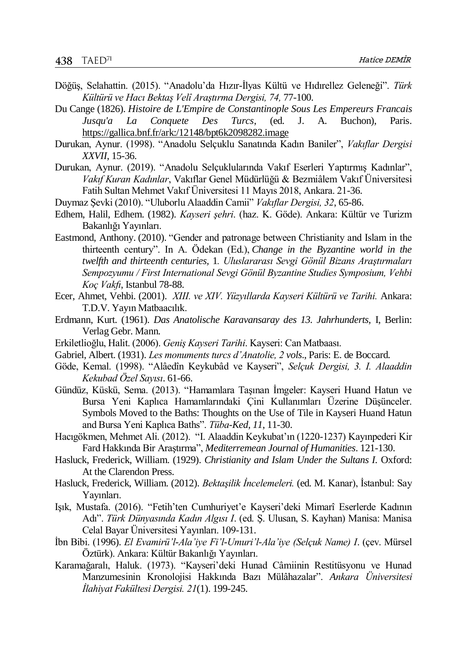- Döğüş, Selahattin. (2015). "Anadolu'da Hızır-İlyas Kültü ve Hıdırellez Geleneği". *Türk Kültürü ve Hacı Bektaş Velî Araştırma Dergisi, 74,* 77-100.
- Du Cange (1826). *Histoire de L'Empire de Constantinople Sous Les Empereurs Francais Jusqu'a La Conquete Des Turcs*, (ed. J. A. Buchon), Paris. <https://gallica.bnf.fr/ark:/12148/bpt6k2098282.image>
- Durukan, Aynur. (1998). "Anadolu Selçuklu Sanatında Kadın Baniler", *Vakıflar Dergisi XXVII*, 15-36.
- Durukan, Aynur. (2019). "Anadolu Selçuklularında Vakıf Eserleri Yaptırmış Kadınlar", *Vakıf Kuran Kadınlar*, Vakıflar Genel Müdürlüğü & Bezmiâlem Vakıf Üniversitesi Fatih Sultan Mehmet Vakıf Üniversitesi 11 Mayıs 2018, Ankara. 21-36.
- Duymaz Şevki (2010). "Uluborlu Alaaddin Camii" *Vakıflar Dergisi, 32*, 65-86.
- Edhem, Halil, Edhem. (1982). *Kayseri şehri*. (haz. K. Göde). Ankara: Kültür ve Turizm Bakanlığı Yayınları.
- Eastmond, Anthony. (2010). "Gender and patronage between Christianity and Islam in the thirteenth century". In A. Ödekan (Ed.), *Change in the Byzantine world in the twelfth and thirteenth centuries,* 1*. Uluslararası Sevgi Gönül Bizans Araştırmaları Sempozyumu / First International Sevgi Gönül Byzantine Studies Symposium, Vehbi Koç Vakfı*, Istanbul 78-88.
- Ecer, Ahmet, Vehbi. (2001). *XIII. ve XIV. Yüzyıllarda Kayseri Kültürü ve Tarihi.* Ankara: T.D.V. Yayın Matbaacılık.
- Erdmann, Kurt. (1961)*. Das Anatolische Karavansaray des 13. Jahrhunderts*, I, Berlin: Verlag Gebr. Mann.
- Erkiletlioğlu, Halit. (2006). *Geniş Kayseri Tarihi*. Kayseri: Can Matbaası.
- Gabriel, Albert. (1931). *Les monuments turcs d'Anatolie, 2 vols*., Paris: E. de Boccard.
- Göde, Kemal. (1998). "Alâedîn Keykubâd ve Kayseri", *Selçuk Dergisi, 3. I. Alaaddin Kekubad Özel Sayısı*. 61-66.
- Gündüz, Küskü, Sema. (2013). "Hamamlara Taşınan İmgeler: Kayseri Huand Hatun ve Bursa Yeni Kaplıca Hamamlarındaki Çini Kullanımları Üzerine Düşünceler. Symbols Moved to the Baths: Thoughts on the Use of Tile in Kayseri Huand Hatun and Bursa Yeni Kaplıca Baths". *Tüba-Ked, 11*, 11-30.
- Hacıgökmen, Mehmet Ali. (2012). "I. Alaaddin Keykubat'ın (1220-1237) Kayınpederi Kir Fard Hakkında Bir Araştırma", *Mediterremean Journal of Humanities*. 121-130.
- Hasluck, Frederick, William. (1929). *Christianity and Islam Under the Sultans I.* Oxford: At the Clarendon Press.
- Hasluck, Frederick, William. (2012). *Bektaşilik İncelemeleri.* (ed. M. Kanar), İstanbul: Say Yayınları.
- Işık, Mustafa. (2016). "Fetih'ten Cumhuriyet'e Kayseri'deki Mimarî Eserlerde Kadının Adı". *Türk Dünyasında Kadın Algısı I*. (ed. Ş. Ulusan, S. Kayhan) Manisa: Manisa Celal Bayar Üniversitesi Yayınları. 109-131.
- İbn Bibi. (1996). *El Evamirü'l-Ala'iye Fi'l-Umuri'l-Ala'iye (Selçuk Name) I*. (çev. Mürsel Öztürk). Ankara: Kültür Bakanlığı Yayınları.
- Karamağaralı, Haluk. (1973). "Kayseri'deki Hunad Câmiinin Restitüsyonu ve Hunad Manzumesinin Kronolojisi Hakkında Bazı Mülâhazalar". *Ankara Üniversitesi İlahiyat Fakültesi Dergisi. 21*(1). 199-245.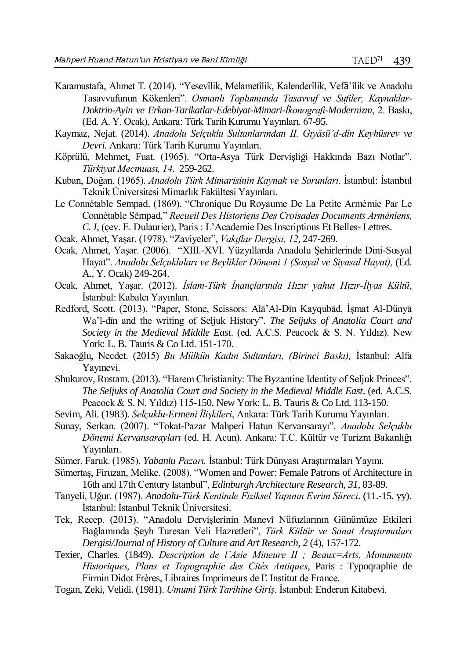- Karamustafa, Ahmet T. (2014). "Yesevîlik, Melametîlik, Kalenderîlik, Vefâ'îlik ve Anadolu Tasavvufunun Kökenleri". *Osmanlı Toplumunda Tasavvuf ve Sufiler, Kaynaklar-Doktrin-Ayin ve Erkan-Tarikatlar-Edebiyat-Mimari-İkonografi-Modernizm*, 2. Baskı, (Ed. A. Y. Ocak), Ankara: Türk Tarih Kurumu Yayınları. 67-95.
- Kaymaz, Nejat. (2014). *Anadolu Selçuklu Sultanlarından II. Gıyâsü'd-dîn Keyhüsrev ve Devri.* Ankara: Türk Tarih Kurumu Yayınları.
- Köprülü, Mehmet, Fuat. (1965). "Orta-Asya Türk Dervişliği Hakkında Bazı Notlar". *Türkiyat Mecmuası, 14*. 259-262.
- Kuban, Doğan. (1965). *Anadolu Türk Mimarisinin Kaynak ve Sorunları*. İstanbul: İstanbul Teknik Üniversitesi Mimarlık Fakültesi Yayınları.
- Le Connétable Sempad. (1869). "Chronique Du Royaume De La Petite Armémie Par Le Connétable Sěmpad," *Recueil Des Historiens Des Croisades Documents Arméniens, C. I*, (çev. E. Dulaurier), Paris : L'Academie Des Inscriptions Et Belles- Lettres.
- Ocak, Ahmet, Yaşar. (1978). "Zaviyeler", *Vakıflar Dergisi, 12*, 247-269.
- Ocak, Ahmet, Yaşar. (2006). "XIII.-XVI. Yüzyıllarda Anadolu Şehirlerinde Dini-Sosyal Hayat". *Anadolu Selçukluları ve Beylikler Dönemi 1 (Sosyal ve Siyasal Hayat),* (Ed. A., Y. Ocak) 249-264.
- Ocak, Ahmet, Yaşar. (2012). *İslam-Türk İnançlarında Hızır yahut Hızır-İlyas Kültü*, İstanbul: Kabalcı Yayınları.
- Redford, Scott. (2013). "Paper, Stone, Scissors: Alā'Al-Dīn Kayqubād, İşmat Al-Dünyā Wa'l-dīn and the writing of Seljuk History". *The Seljuks of Anatolia Court and Society in the Medieval Middle East*. (ed. A.C.S. Peacock & S. N. Yıldız). New York: L. B. Tauris & Co Ltd. 151-170.
- Sakaoğlu, Necdet. (2015) *Bu Mülkün Kadın Sultanları, (Birinci Baskı),* İstanbul: Alfa Yayınevi.
- Shukurov, Rustam. (2013). "Harem Christianity: The Byzantine Identity of Seljuk Princes". *The Seljuks of Anatolia Court and Society in the Medieval Middle East*. (ed. A.C.S. Peacock & S. N. Yıldız) 115-150. New York: L. B. Tauris & Co Ltd. 113-150.
- Sevim, Ali. (1983). *Selçuklu-Ermeni İlişkileri*, Ankara: Türk Tarih Kurumu Yayınları.
- Sunay, Serkan. (2007). "Tokat-Pazar Mahperi Hatun Kervansarayı". *Anadolu Selçuklu Dönemi Kervansarayları* (ed. H. Acun). Ankara: T.C. Kültür ve Turizm Bakanlığı Yayınları.
- Sümer, Faruk. (1985). *Yabanlu Pazarı.* İstanbul: Türk Dünyası Araştırmaları Yayını.
- Sümertaş, Firuzan, Melike. (2008). "Women and Power: Female Patrons of Architecture in 16th and 17th Century Istanbul", *Edinburgh Architecture Research, 31*, 83-89.
- Tanyeli, Uğur. (1987). *Anadolu-Türk Kentinde Fiziksel Yapının Evrim Süreci*. (11.-15. yy). İstanbul: İstanbul Teknik Üniversitesi.
- Tek, Recep. (2013). "Anadolu Dervişlerinin Manevî Nüfuzlarının Günümüze Etkileri Bağlamında Şeyh Turesan Veli Hazretleri", *Türk Kültür ve Sanat Araştırmaları Dergisi/Journal of History of Culture and Art Research, 2* (4), 157-172.
- Texier, Charles. (1849). *Description de l'Asie Mineure II ; Beaux=Arts, Monuments Historiques, Plans et Topographie des Cités Antiques*, Paris : Typoqraphie de Firmin Didot Frères, Libraires Imprimeurs de Ľ Institut de France.
- Togan, Zeki, Velidi. (1981). *Umumi Türk Tarihine Giriş*. İstanbul: Enderun Kitabevi.